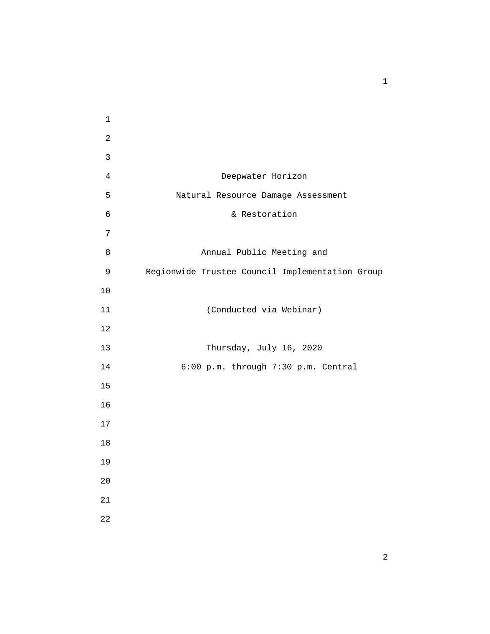4 Deepwater Horizon 5 Natural Resource Damage Assessment 6 & Restoration 8 Annual Public Meeting and 9 Regionwide Trustee Council Implementation Group 11 (Conducted via Webinar) 13 Thursday, July 16, 2020 14 6:00 p.m. through 7:30 p.m. Central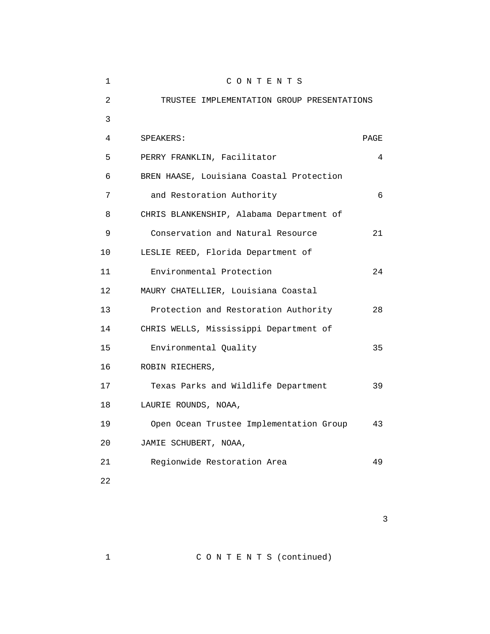| 1  | CONTENTS                                   |      |
|----|--------------------------------------------|------|
| 2  | TRUSTEE IMPLEMENTATION GROUP PRESENTATIONS |      |
| 3  |                                            |      |
| 4  | SPEAKERS:                                  | PAGE |
| 5  | PERRY FRANKLIN, Facilitator                | 4    |
| 6  | BREN HAASE, Louisiana Coastal Protection   |      |
| 7  | and Restoration Authority                  | 6    |
| 8  | CHRIS BLANKENSHIP, Alabama Department of   |      |
| 9  | Conservation and Natural Resource          | 21   |
| 10 | LESLIE REED, Florida Department of         |      |
| 11 | Environmental Protection                   | 24   |
| 12 | MAURY CHATELLIER, Louisiana Coastal        |      |
| 13 | Protection and Restoration Authority       | 28   |
| 14 | CHRIS WELLS, Mississippi Department of     |      |
| 15 | Environmental Quality                      | 35   |
| 16 | ROBIN RIECHERS,                            |      |
| 17 | Texas Parks and Wildlife Department        | 39   |
| 18 | LAURIE ROUNDS, NOAA,                       |      |
| 19 | Open Ocean Trustee Implementation Group    | 43   |
| 20 | JAMIE SCHUBERT, NOAA,                      |      |
| 21 | Regionwide Restoration Area                | 49   |
| 22 |                                            |      |

 $\sim$  3

1 C O N T E N T S (continued)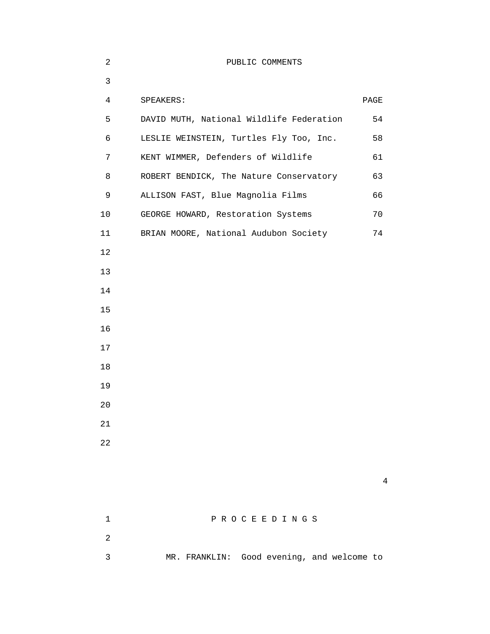| 2              | PUBLIC COMMENTS                            |                |
|----------------|--------------------------------------------|----------------|
| $\mathsf{3}$   |                                            |                |
| $\overline{4}$ | SPEAKERS:                                  | PAGE           |
| 5              | DAVID MUTH, National Wildlife Federation   | 54             |
| 6              | LESLIE WEINSTEIN, Turtles Fly Too, Inc.    | 58             |
| 7              | KENT WIMMER, Defenders of Wildlife         | 61             |
| 8              | ROBERT BENDICK, The Nature Conservatory    | 63             |
| 9              | ALLISON FAST, Blue Magnolia Films          | 66             |
| 10             | GEORGE HOWARD, Restoration Systems         | 70             |
| 11             | BRIAN MOORE, National Audubon Society      | 74             |
| 12             |                                            |                |
| 13             |                                            |                |
| 14             |                                            |                |
| 15             |                                            |                |
| 16             |                                            |                |
| 17             |                                            |                |
| 18             |                                            |                |
| 19             |                                            |                |
| 20             |                                            |                |
| 21             |                                            |                |
| 22             |                                            |                |
|                |                                            |                |
|                |                                            | $\overline{4}$ |
|                |                                            |                |
| $\mathbf{1}$   | PROCEEDINGS                                |                |
| $\overline{2}$ |                                            |                |
| $\mathfrak{Z}$ | MR. FRANKLIN: Good evening, and welcome to |                |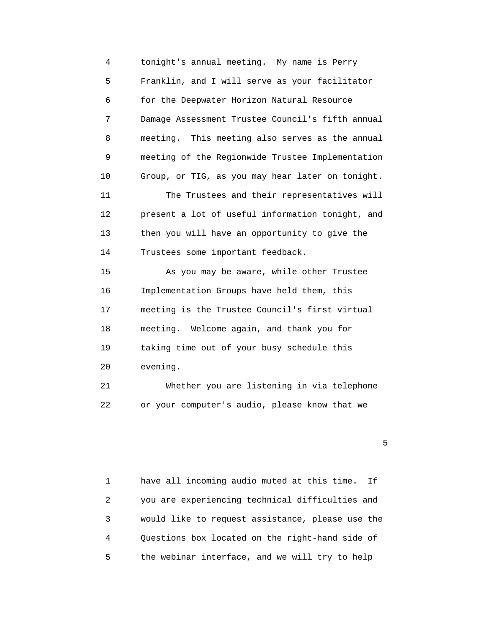4 tonight's annual meeting. My name is Perry 5 Franklin, and I will serve as your facilitator 6 for the Deepwater Horizon Natural Resource 7 Damage Assessment Trustee Council's fifth annual 8 meeting. This meeting also serves as the annual 9 meeting of the Regionwide Trustee Implementation 10 Group, or TIG, as you may hear later on tonight. 11 The Trustees and their representatives will 12 present a lot of useful information tonight, and 13 then you will have an opportunity to give the 14 Trustees some important feedback. 15 As you may be aware, while other Trustee 16 Implementation Groups have held them, this 17 meeting is the Trustee Council's first virtual 18 meeting. Welcome again, and thank you for 19 taking time out of your busy schedule this 20 evening. 21 Whether you are listening in via telephone

22 or your computer's audio, please know that we

 $\sim$  5

 1 have all incoming audio muted at this time. If 2 you are experiencing technical difficulties and 3 would like to request assistance, please use the 4 Questions box located on the right-hand side of 5 the webinar interface, and we will try to help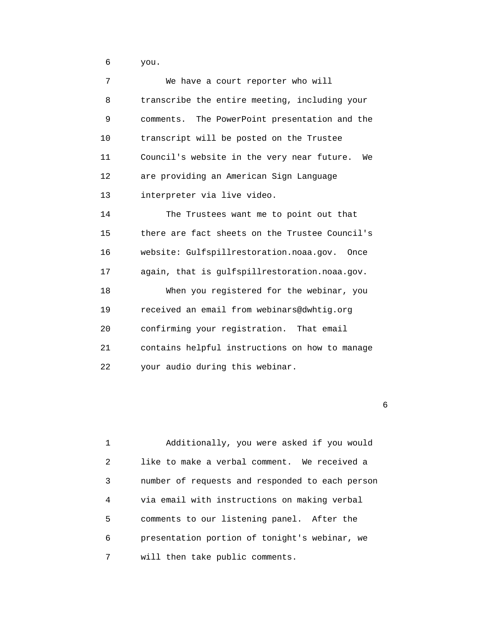6 you.

| 7                 | We have a court reporter who will                |
|-------------------|--------------------------------------------------|
| 8                 | transcribe the entire meeting, including your    |
| 9                 | comments. The PowerPoint presentation and the    |
| 10                | transcript will be posted on the Trustee         |
| 11                | Council's website in the very near future.<br>We |
| $12 \overline{ }$ | are providing an American Sign Language          |
| 13                | interpreter via live video.                      |
| 14                | The Trustees want me to point out that           |
| 15                | there are fact sheets on the Trustee Council's   |
| 16                | website: Gulfspillrestoration.noaa.gov. Once     |
| 17                | again, that is gulfspillrestoration.noaa.gov.    |
| 18                | When you registered for the webinar, you         |
| 19                | received an email from webinars@dwhtig.org       |
| 20                | confirming your registration. That email         |
| 21                | contains helpful instructions on how to manage   |
| 22                | your audio during this webinar.                  |

entrante de la construction de la construction de la construction de la construction de la construction de la<br>Entrante de la construction de la construction de la construction de la construction de la construction de la

 1 Additionally, you were asked if you would 2 like to make a verbal comment. We received a 3 number of requests and responded to each person 4 via email with instructions on making verbal 5 comments to our listening panel. After the 6 presentation portion of tonight's webinar, we 7 will then take public comments.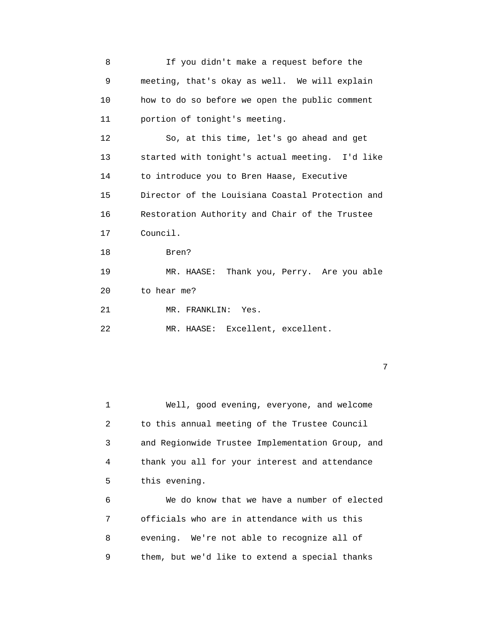7

 1 Well, good evening, everyone, and welcome 2 to this annual meeting of the Trustee Council 3 and Regionwide Trustee Implementation Group, and 4 thank you all for your interest and attendance 5 this evening.

 6 We do know that we have a number of elected 7 officials who are in attendance with us this 8 evening. We're not able to recognize all of 9 them, but we'd like to extend a special thanks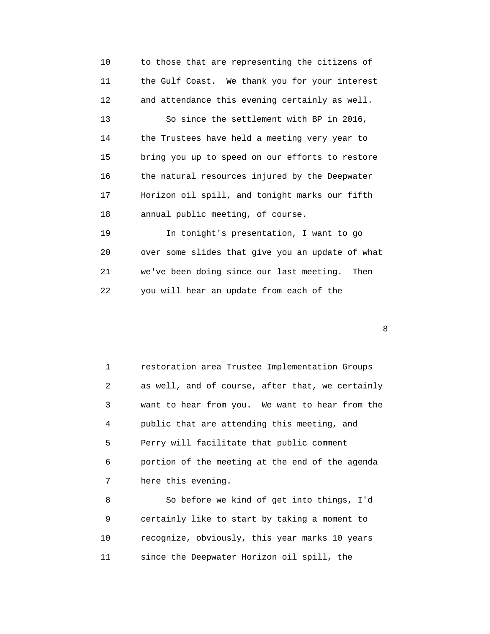10 to those that are representing the citizens of 11 the Gulf Coast. We thank you for your interest 12 and attendance this evening certainly as well. 13 So since the settlement with BP in 2016, 14 the Trustees have held a meeting very year to 15 bring you up to speed on our efforts to restore 16 the natural resources injured by the Deepwater 17 Horizon oil spill, and tonight marks our fifth 18 annual public meeting, of course. 19 In tonight's presentation, I want to go 20 over some slides that give you an update of what

22 you will hear an update from each of the

21 we've been doing since our last meeting. Then

e a construction and the construction of the construction of the construction of the construction of the construction of the construction of the construction of the construction of the construction of the construction of t

 1 restoration area Trustee Implementation Groups 2 as well, and of course, after that, we certainly 3 want to hear from you. We want to hear from the 4 public that are attending this meeting, and 5 Perry will facilitate that public comment 6 portion of the meeting at the end of the agenda 7 here this evening.

 8 So before we kind of get into things, I'd 9 certainly like to start by taking a moment to 10 recognize, obviously, this year marks 10 years 11 since the Deepwater Horizon oil spill, the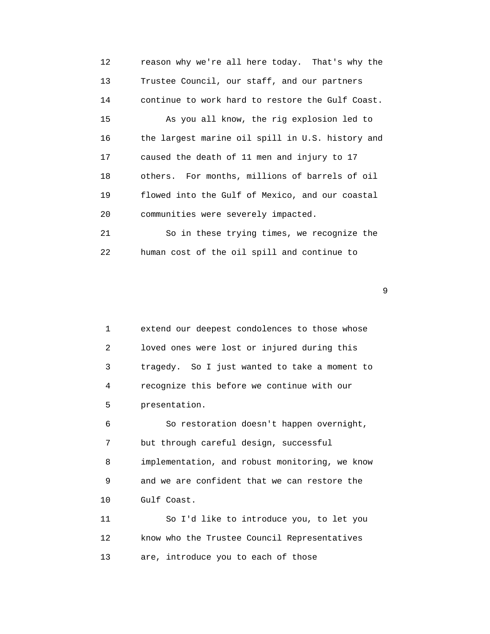12 reason why we're all here today. That's why the 13 Trustee Council, our staff, and our partners 14 continue to work hard to restore the Gulf Coast. 15 As you all know, the rig explosion led to 16 the largest marine oil spill in U.S. history and 17 caused the death of 11 men and injury to 17 18 others. For months, millions of barrels of oil 19 flowed into the Gulf of Mexico, and our coastal 20 communities were severely impacted. 21 So in these trying times, we recognize the 22 human cost of the oil spill and continue to

| 1                 | extend our deepest condolences to those whose  |
|-------------------|------------------------------------------------|
| $\overline{2}$    | loved ones were lost or injured during this    |
| 3                 | tragedy. So I just wanted to take a moment to  |
| 4                 | recognize this before we continue with our     |
| 5                 | presentation.                                  |
| 6                 | So restoration doesn't happen overnight,       |
| 7                 | but through careful design, successful         |
| 8                 | implementation, and robust monitoring, we know |
| 9                 | and we are confident that we can restore the   |
| 10                | Gulf Coast.                                    |
| 11                | So I'd like to introduce you, to let you       |
| $12 \overline{ }$ | know who the Trustee Council Representatives   |
| 13                | are, introduce you to each of those            |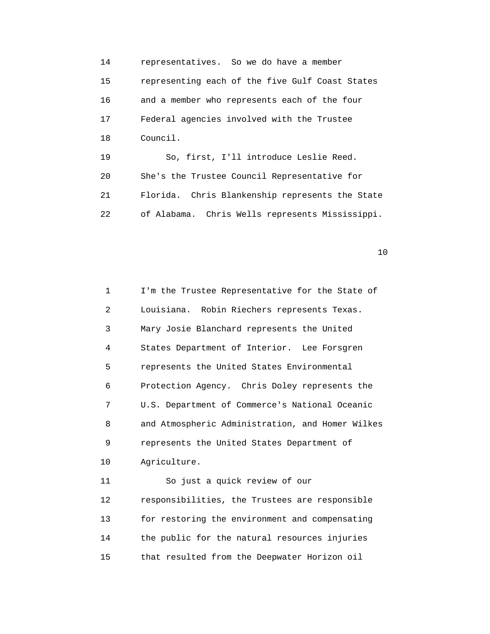14 representatives. So we do have a member 15 representing each of the five Gulf Coast States 16 and a member who represents each of the four 17 Federal agencies involved with the Trustee 18 Council. 19 So, first, I'll introduce Leslie Reed.

 20 She's the Trustee Council Representative for 21 Florida. Chris Blankenship represents the State 22 of Alabama. Chris Wells represents Mississippi.

| $\mathbf{1}$      | I'm the Trustee Representative for the State of  |
|-------------------|--------------------------------------------------|
| 2                 | Louisiana. Robin Riechers represents Texas.      |
| 3                 | Mary Josie Blanchard represents the United       |
| 4                 | States Department of Interior. Lee Forsgren      |
| 5                 | represents the United States Environmental       |
| 6                 | Protection Agency. Chris Doley represents the    |
| 7                 | U.S. Department of Commerce's National Oceanic   |
| 8                 | and Atmospheric Administration, and Homer Wilkes |
| 9                 | represents the United States Department of       |
| 10                | Agriculture.                                     |
| 11                | So just a quick review of our                    |
| $12 \overline{ }$ | responsibilities, the Trustees are responsible   |
| 13                | for restoring the environment and compensating   |
| 14                | the public for the natural resources injuries    |
| 15                | that resulted from the Deepwater Horizon oil     |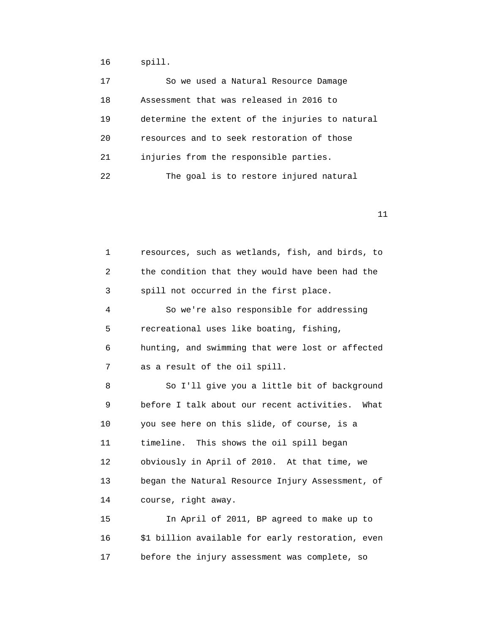16 spill.

| 17 | So we used a Natural Resource Damage            |
|----|-------------------------------------------------|
| 18 | Assessment that was released in 2016 to         |
| 19 | determine the extent of the injuries to natural |
| 20 | resources and to seek restoration of those      |
| 21 | injuries from the responsible parties.          |
| 22 | The goal is to restore injured natural          |

| 1  | resources, such as wetlands, fish, and birds, to  |
|----|---------------------------------------------------|
| 2  | the condition that they would have been had the   |
| 3  | spill not occurred in the first place.            |
| 4  | So we're also responsible for addressing          |
| 5  | recreational uses like boating, fishing,          |
| 6  | hunting, and swimming that were lost or affected  |
| 7  | as a result of the oil spill.                     |
| 8  | So I'll give you a little bit of background       |
| 9  | before I talk about our recent activities. What   |
| 10 | you see here on this slide, of course, is a       |
| 11 | timeline. This shows the oil spill began          |
| 12 | obviously in April of 2010. At that time, we      |
| 13 | began the Natural Resource Injury Assessment, of  |
| 14 | course, right away.                               |
| 15 | In April of 2011, BP agreed to make up to         |
| 16 | \$1 billion available for early restoration, even |
| 17 | before the injury assessment was complete, so     |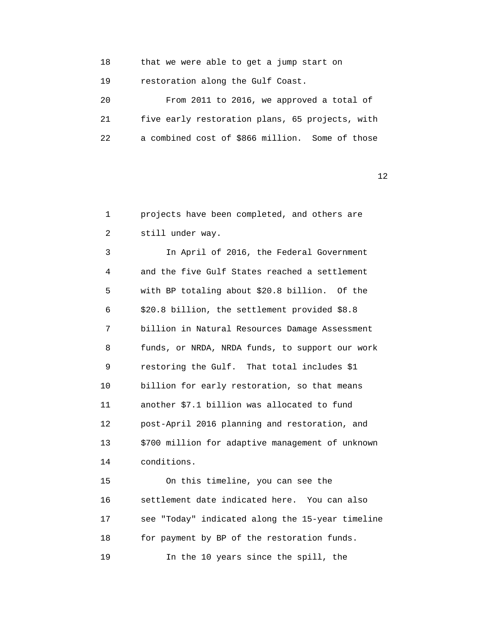| 18 | that we were able to get a jump start on        |
|----|-------------------------------------------------|
| 19 | restoration along the Gulf Coast.               |
| 20 | From 2011 to 2016, we approved a total of       |
| 21 | five early restoration plans, 65 projects, with |
| 22 | a combined cost of \$866 million. Some of those |

| $\mathbf{1}$ | projects have been completed, and others are     |
|--------------|--------------------------------------------------|
| 2            | still under way.                                 |
| 3            | In April of 2016, the Federal Government         |
| 4            | and the five Gulf States reached a settlement    |
| 5            | with BP totaling about \$20.8 billion. Of the    |
| 6            | \$20.8 billion, the settlement provided \$8.8    |
| 7            | billion in Natural Resources Damage Assessment   |
| 8            | funds, or NRDA, NRDA funds, to support our work  |
| 9            | restoring the Gulf. That total includes \$1      |
| 10           | billion for early restoration, so that means     |
| 11           | another \$7.1 billion was allocated to fund      |
| 12           | post-April 2016 planning and restoration, and    |
| 13           | \$700 million for adaptive management of unknown |
| 14           | conditions.                                      |
| 15           | On this timeline, you can see the                |
| 16           | settlement date indicated here. You can also     |
| 17           | see "Today" indicated along the 15-year timeline |
| 18           | for payment by BP of the restoration funds.      |
| 19           | In the 10 years since the spill, the             |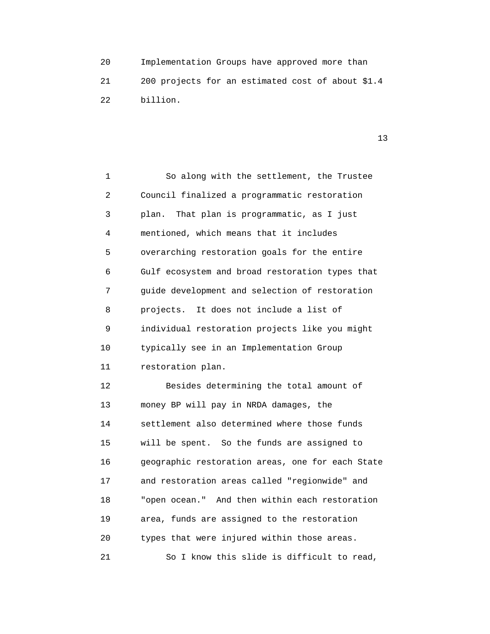20 Implementation Groups have approved more than 21 200 projects for an estimated cost of about \$1.4 22 billion.

| 1  | So along with the settlement, the Trustee        |
|----|--------------------------------------------------|
| 2  | Council finalized a programmatic restoration     |
| 3  | plan.<br>That plan is programmatic, as I just    |
| 4  | mentioned, which means that it includes          |
| 5  | overarching restoration goals for the entire     |
| 6  | Gulf ecosystem and broad restoration types that  |
| 7  | guide development and selection of restoration   |
| 8  | projects. It does not include a list of          |
| 9  | individual restoration projects like you might   |
| 10 | typically see in an Implementation Group         |
| 11 | restoration plan.                                |
| 12 | Besides determining the total amount of          |
| 13 | money BP will pay in NRDA damages, the           |
| 14 | settlement also determined where those funds     |
| 15 | will be spent. So the funds are assigned to      |
| 16 | geographic restoration areas, one for each State |
| 17 | and restoration areas called "regionwide" and    |
| 18 | "open ocean." And then within each restoration   |
| 19 | area, funds are assigned to the restoration      |
| 20 | types that were injured within those areas.      |
| 21 | So I know this slide is difficult to read,       |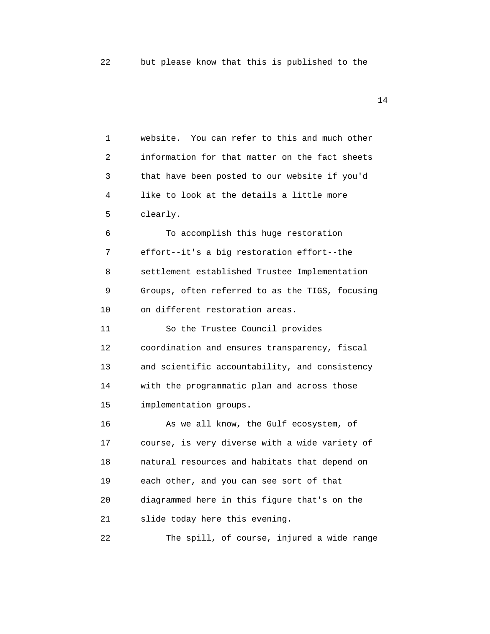| 1  | website. You can refer to this and much other   |
|----|-------------------------------------------------|
| 2  | information for that matter on the fact sheets  |
| 3  | that have been posted to our website if you'd   |
| 4  | like to look at the details a little more       |
| 5  | clearly.                                        |
| 6  | To accomplish this huge restoration             |
| 7  | effort--it's a big restoration effort--the      |
| 8  | settlement established Trustee Implementation   |
| 9  | Groups, often referred to as the TIGS, focusing |
| 10 | on different restoration areas.                 |
| 11 | So the Trustee Council provides                 |
| 12 | coordination and ensures transparency, fiscal   |
| 13 | and scientific accountability, and consistency  |
| 14 | with the programmatic plan and across those     |
| 15 | implementation groups.                          |
| 16 | As we all know, the Gulf ecosystem, of          |
| 17 | course, is very diverse with a wide variety of  |
| 18 | natural resources and habitats that depend on   |
| 19 | each other, and you can see sort of that        |
| 20 | diagrammed here in this figure that's on the    |
| 21 | slide today here this evening.                  |
| 22 | The spill, of course, injured a wide range      |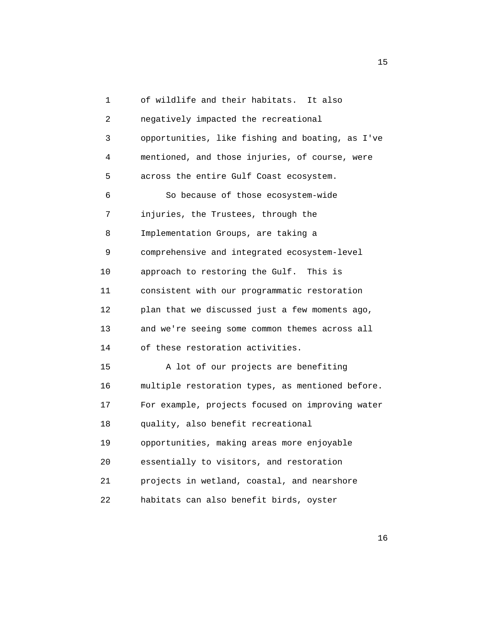| 1  | of wildlife and their habitats.<br>It also       |
|----|--------------------------------------------------|
| 2  | negatively impacted the recreational             |
| 3  | opportunities, like fishing and boating, as I've |
| 4  | mentioned, and those injuries, of course, were   |
| 5  | across the entire Gulf Coast ecosystem.          |
| 6  | So because of those ecosystem-wide               |
| 7  | injuries, the Trustees, through the              |
| 8  | Implementation Groups, are taking a              |
| 9  | comprehensive and integrated ecosystem-level     |
| 10 | approach to restoring the Gulf. This is          |
| 11 | consistent with our programmatic restoration     |
| 12 | plan that we discussed just a few moments ago,   |
| 13 | and we're seeing some common themes across all   |
| 14 | of these restoration activities.                 |
| 15 | A lot of our projects are benefiting             |
| 16 | multiple restoration types, as mentioned before. |
| 17 | For example, projects focused on improving water |
| 18 | quality, also benefit recreational               |
| 19 | opportunities, making areas more enjoyable       |
| 20 | essentially to visitors, and restoration         |
| 21 | projects in wetland, coastal, and nearshore      |
| 22 | habitats can also benefit birds, oyster          |

15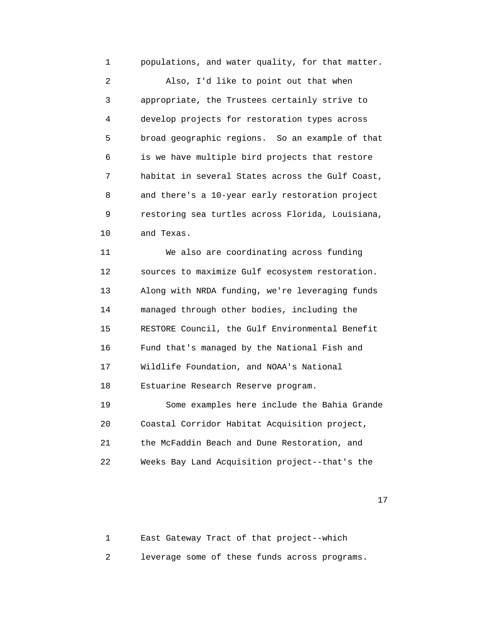1 populations, and water quality, for that matter.

 2 Also, I'd like to point out that when 3 appropriate, the Trustees certainly strive to 4 develop projects for restoration types across 5 broad geographic regions. So an example of that 6 is we have multiple bird projects that restore 7 habitat in several States across the Gulf Coast, 8 and there's a 10-year early restoration project 9 restoring sea turtles across Florida, Louisiana, 10 and Texas.

 11 We also are coordinating across funding 12 sources to maximize Gulf ecosystem restoration. 13 Along with NRDA funding, we're leveraging funds 14 managed through other bodies, including the 15 RESTORE Council, the Gulf Environmental Benefit 16 Fund that's managed by the National Fish and 17 Wildlife Foundation, and NOAA's National 18 Estuarine Research Reserve program. 19 Some examples here include the Bahia Grande 20 Coastal Corridor Habitat Acquisition project,

21 the McFaddin Beach and Dune Restoration, and

22 Weeks Bay Land Acquisition project--that's the

17

 1 East Gateway Tract of that project--which 2 leverage some of these funds across programs.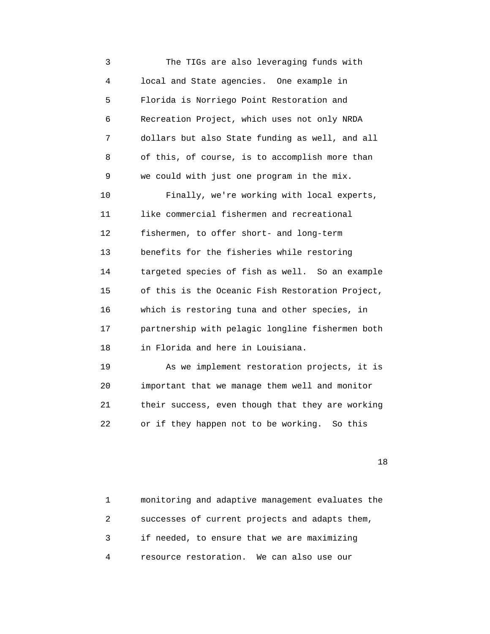3 The TIGs are also leveraging funds with 4 local and State agencies. One example in 5 Florida is Norriego Point Restoration and 6 Recreation Project, which uses not only NRDA 7 dollars but also State funding as well, and all 8 of this, of course, is to accomplish more than 9 we could with just one program in the mix. 10 Finally, we're working with local experts, 11 like commercial fishermen and recreational 12 fishermen, to offer short- and long-term 13 benefits for the fisheries while restoring 14 targeted species of fish as well. So an example 15 of this is the Oceanic Fish Restoration Project, 16 which is restoring tuna and other species, in 17 partnership with pelagic longline fishermen both 18 in Florida and here in Louisiana. 19 As we implement restoration projects, it is 20 important that we manage them well and monitor

 21 their success, even though that they are working 22 or if they happen not to be working. So this

|   | monitoring and adaptive management evaluates the |
|---|--------------------------------------------------|
|   | successes of current projects and adapts them,   |
|   | if needed, to ensure that we are maximizing      |
| 4 | resource restoration. We can also use our        |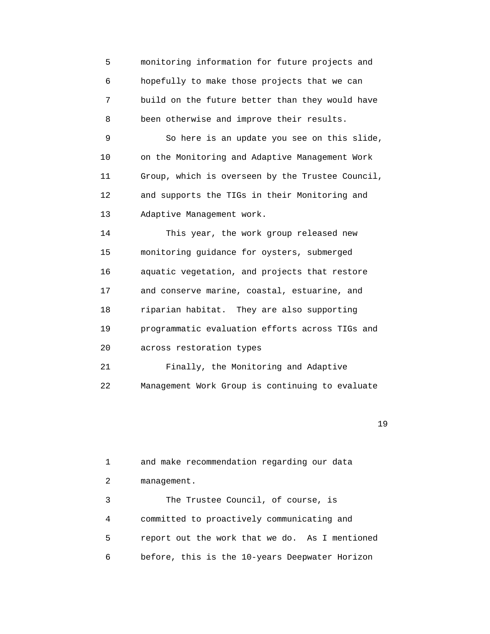5 monitoring information for future projects and 6 hopefully to make those projects that we can 7 build on the future better than they would have 8 been otherwise and improve their results. 9 So here is an update you see on this slide, 10 on the Monitoring and Adaptive Management Work 11 Group, which is overseen by the Trustee Council, 12 and supports the TIGs in their Monitoring and 13 Adaptive Management work. 14 This year, the work group released new 15 monitoring guidance for oysters, submerged 16 aquatic vegetation, and projects that restore 17 and conserve marine, coastal, estuarine, and 18 riparian habitat. They are also supporting 19 programmatic evaluation efforts across TIGs and 20 across restoration types 21 Finally, the Monitoring and Adaptive 22 Management Work Group is continuing to evaluate

19

 1 and make recommendation regarding our data 2 management. 3 The Trustee Council, of course, is 4 committed to proactively communicating and 5 report out the work that we do. As I mentioned 6 before, this is the 10-years Deepwater Horizon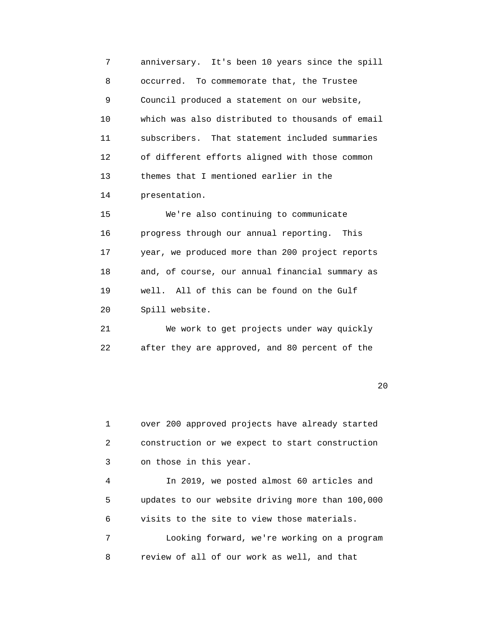7 anniversary. It's been 10 years since the spill 8 occurred. To commemorate that, the Trustee 9 Council produced a statement on our website, 10 which was also distributed to thousands of email 11 subscribers. That statement included summaries 12 of different efforts aligned with those common 13 themes that I mentioned earlier in the 14 presentation. 15 We're also continuing to communicate 16 progress through our annual reporting. This 17 year, we produced more than 200 project reports 18 and, of course, our annual financial summary as 19 well. All of this can be found on the Gulf

20 Spill website.

 21 We work to get projects under way quickly 22 after they are approved, and 80 percent of the

 $20$ 

 1 over 200 approved projects have already started 2 construction or we expect to start construction 3 on those in this year.

 4 In 2019, we posted almost 60 articles and 5 updates to our website driving more than 100,000 6 visits to the site to view those materials. 7 Looking forward, we're working on a program 8 review of all of our work as well, and that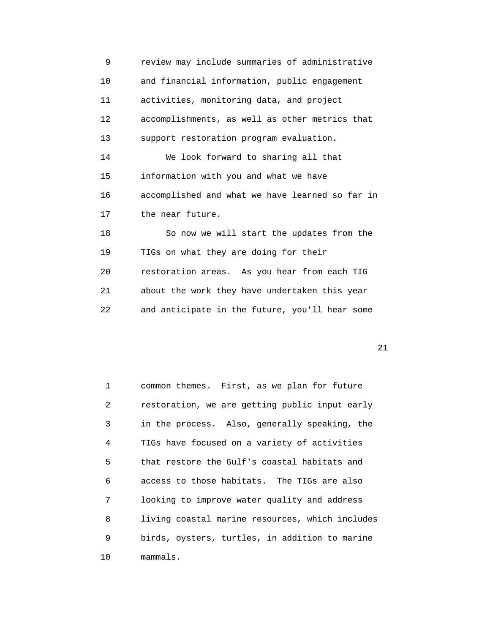| 9                 | review may include summaries of administrative  |
|-------------------|-------------------------------------------------|
| 10                | and financial information, public engagement    |
| 11                | activities, monitoring data, and project        |
| $12 \overline{ }$ | accomplishments, as well as other metrics that  |
| 13                | support restoration program evaluation.         |
| 14                | We look forward to sharing all that             |
| 15                | information with you and what we have           |
| 16                | accomplished and what we have learned so far in |
| 17                | the near future.                                |
| 18                | So now we will start the updates from the       |
| 19                | TIGs on what they are doing for their           |
| 20                | restoration areas. As you hear from each TIG    |
| 21                | about the work they have undertaken this year   |
| 22                | and anticipate in the future, you'll hear some  |
|                   |                                                 |

| $\mathbf{1}$   | common themes. First, as we plan for future     |
|----------------|-------------------------------------------------|
| $\overline{2}$ | restoration, we are getting public input early  |
| 3              | in the process. Also, generally speaking, the   |
| 4              | TIGs have focused on a variety of activities    |
| 5              | that restore the Gulf's coastal habitats and    |
| 6              | access to those habitats. The TIGs are also     |
| 7              | looking to improve water quality and address    |
| 8              | living coastal marine resources, which includes |
| 9              | birds, oysters, turtles, in addition to marine  |
| 10             | mammals.                                        |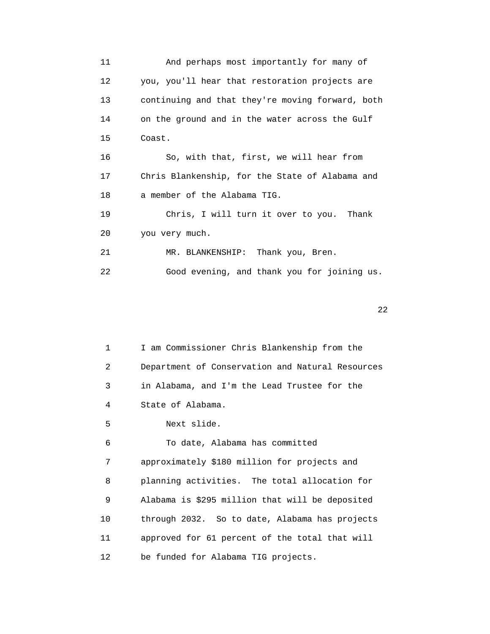11 And perhaps most importantly for many of 12 you, you'll hear that restoration projects are 13 continuing and that they're moving forward, both 14 on the ground and in the water across the Gulf 15 Coast. 16 So, with that, first, we will hear from 17 Chris Blankenship, for the State of Alabama and 18 a member of the Alabama TIG. 19 Chris, I will turn it over to you. Thank 20 you very much. 21 MR. BLANKENSHIP: Thank you, Bren. 22 Good evening, and thank you for joining us.

 $22$ 

 1 I am Commissioner Chris Blankenship from the 2 Department of Conservation and Natural Resources 3 in Alabama, and I'm the Lead Trustee for the 4 State of Alabama.

5 Next slide.

 6 To date, Alabama has committed 7 approximately \$180 million for projects and 8 planning activities. The total allocation for 9 Alabama is \$295 million that will be deposited 10 through 2032. So to date, Alabama has projects 11 approved for 61 percent of the total that will 12 be funded for Alabama TIG projects.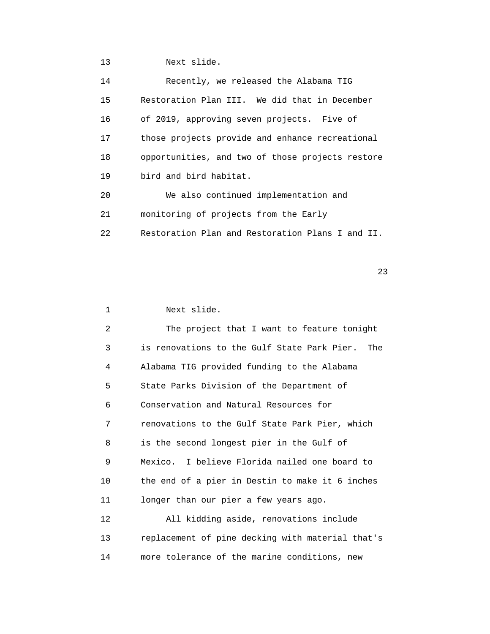13 Next slide.

| 14 | Recently, we released the Alabama TIG            |
|----|--------------------------------------------------|
| 15 | Restoration Plan III. We did that in December    |
| 16 | of 2019, approving seven projects. Five of       |
| 17 | those projects provide and enhance recreational  |
| 18 | opportunities, and two of those projects restore |
| 19 | bird and bird habitat.                           |
| 20 | We also continued implementation and             |
| 21 | monitoring of projects from the Early            |
| 22 | Restoration Plan and Restoration Plans I and II. |

23

1 Next slide.

 2 The project that I want to feature tonight 3 is renovations to the Gulf State Park Pier. The 4 Alabama TIG provided funding to the Alabama 5 State Parks Division of the Department of 6 Conservation and Natural Resources for 7 renovations to the Gulf State Park Pier, which 8 is the second longest pier in the Gulf of 9 Mexico. I believe Florida nailed one board to 10 the end of a pier in Destin to make it 6 inches 11 longer than our pier a few years ago. 12 All kidding aside, renovations include 13 replacement of pine decking with material that's 14 more tolerance of the marine conditions, new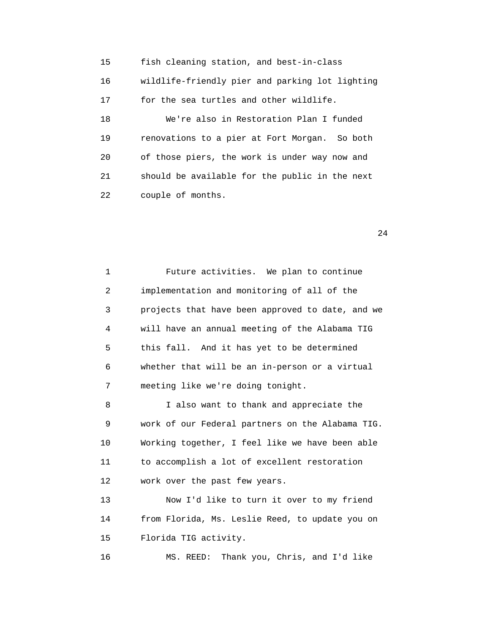15 fish cleaning station, and best-in-class 16 wildlife-friendly pier and parking lot lighting 17 for the sea turtles and other wildlife. 18 We're also in Restoration Plan I funded 19 renovations to a pier at Fort Morgan. So both 20 of those piers, the work is under way now and 21 should be available for the public in the next 22 couple of months.

24

 1 Future activities. We plan to continue 2 implementation and monitoring of all of the 3 projects that have been approved to date, and we 4 will have an annual meeting of the Alabama TIG 5 this fall. And it has yet to be determined 6 whether that will be an in-person or a virtual 7 meeting like we're doing tonight. 8 I also want to thank and appreciate the

 9 work of our Federal partners on the Alabama TIG. 10 Working together, I feel like we have been able 11 to accomplish a lot of excellent restoration 12 work over the past few years.

 13 Now I'd like to turn it over to my friend 14 from Florida, Ms. Leslie Reed, to update you on 15 Florida TIG activity.

16 MS. REED: Thank you, Chris, and I'd like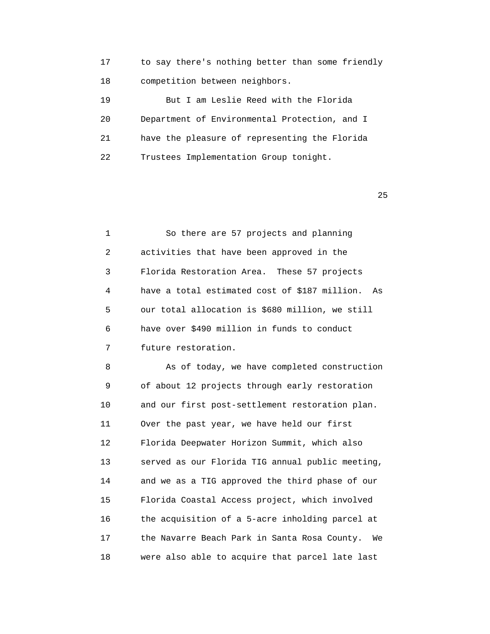| 17 | to say there's nothing better than some friendly |
|----|--------------------------------------------------|
| 18 | competition between neighbors.                   |
| 19 | But I am Leslie Reed with the Florida            |
| 20 | Department of Environmental Protection, and I    |
|    |                                                  |

21 have the pleasure of representing the Florida

22 Trustees Implementation Group tonight.

 $25$ 

| $\mathbf{1}$ | So there are 57 projects and planning            |
|--------------|--------------------------------------------------|
| 2            | activities that have been approved in the        |
| 3            | Florida Restoration Area. These 57 projects      |
| 4            | have a total estimated cost of \$187 million. As |
| 5            | our total allocation is \$680 million, we still  |
| 6            | have over \$490 million in funds to conduct      |
| 7            | future restoration.                              |

8 As of today, we have completed construction 9 of about 12 projects through early restoration 10 and our first post-settlement restoration plan. 11 Over the past year, we have held our first 12 Florida Deepwater Horizon Summit, which also 13 served as our Florida TIG annual public meeting, 14 and we as a TIG approved the third phase of our 15 Florida Coastal Access project, which involved 16 the acquisition of a 5-acre inholding parcel at 17 the Navarre Beach Park in Santa Rosa County. We 18 were also able to acquire that parcel late last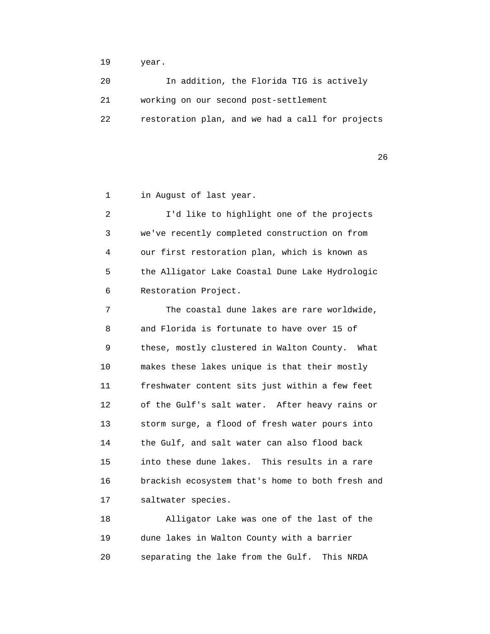19 year.

 20 In addition, the Florida TIG is actively 21 working on our second post-settlement 22 restoration plan, and we had a call for projects

 $26$ 

1 in August of last year.

 2 I'd like to highlight one of the projects 3 we've recently completed construction on from 4 our first restoration plan, which is known as 5 the Alligator Lake Coastal Dune Lake Hydrologic 6 Restoration Project.

 7 The coastal dune lakes are rare worldwide, 8 and Florida is fortunate to have over 15 of 9 these, mostly clustered in Walton County. What 10 makes these lakes unique is that their mostly 11 freshwater content sits just within a few feet 12 of the Gulf's salt water. After heavy rains or 13 storm surge, a flood of fresh water pours into 14 the Gulf, and salt water can also flood back 15 into these dune lakes. This results in a rare 16 brackish ecosystem that's home to both fresh and 17 saltwater species.

 18 Alligator Lake was one of the last of the 19 dune lakes in Walton County with a barrier 20 separating the lake from the Gulf. This NRDA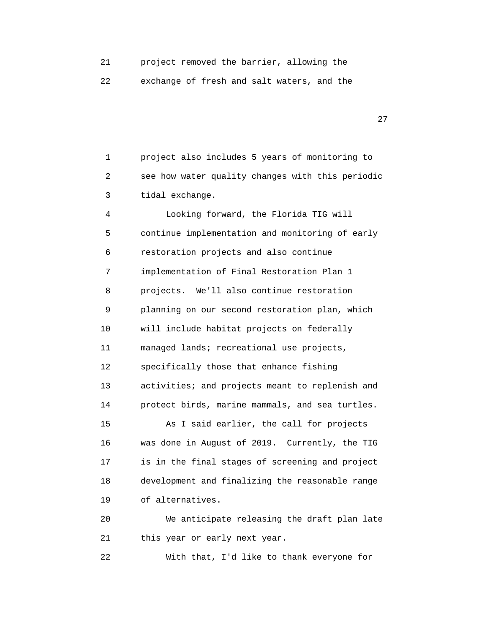21 project removed the barrier, allowing the

22 exchange of fresh and salt waters, and the

27 and 27

 1 project also includes 5 years of monitoring to 2 see how water quality changes with this periodic 3 tidal exchange.

 4 Looking forward, the Florida TIG will 5 continue implementation and monitoring of early 6 restoration projects and also continue 7 implementation of Final Restoration Plan 1 8 projects. We'll also continue restoration 9 planning on our second restoration plan, which 10 will include habitat projects on federally 11 managed lands; recreational use projects, 12 specifically those that enhance fishing 13 activities; and projects meant to replenish and 14 protect birds, marine mammals, and sea turtles. 15 As I said earlier, the call for projects 16 was done in August of 2019. Currently, the TIG 17 is in the final stages of screening and project 18 development and finalizing the reasonable range 19 of alternatives. 20 We anticipate releasing the draft plan late 21 this year or early next year.

22 With that, I'd like to thank everyone for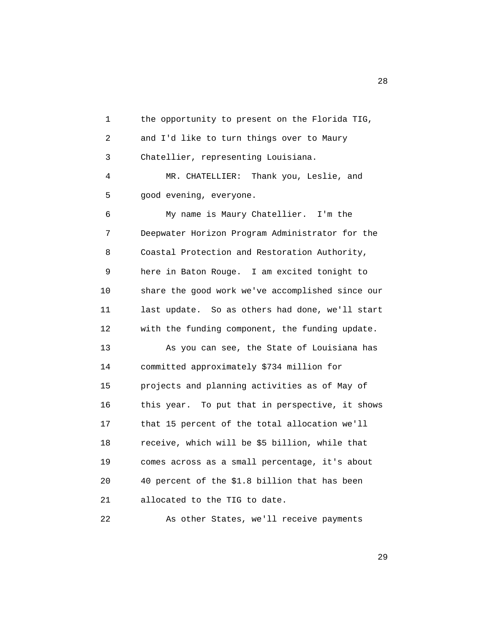1 the opportunity to present on the Florida TIG, 2 and I'd like to turn things over to Maury 3 Chatellier, representing Louisiana. 4 MR. CHATELLIER: Thank you, Leslie, and 5 good evening, everyone. 6 My name is Maury Chatellier. I'm the 7 Deepwater Horizon Program Administrator for the 8 Coastal Protection and Restoration Authority, 9 here in Baton Rouge. I am excited tonight to 10 share the good work we've accomplished since our 11 last update. So as others had done, we'll start 12 with the funding component, the funding update. 13 As you can see, the State of Louisiana has 14 committed approximately \$734 million for 15 projects and planning activities as of May of 16 this year. To put that in perspective, it shows 17 that 15 percent of the total allocation we'll 18 receive, which will be \$5 billion, while that 19 comes across as a small percentage, it's about 20 40 percent of the \$1.8 billion that has been 21 allocated to the TIG to date.

22 As other States, we'll receive payments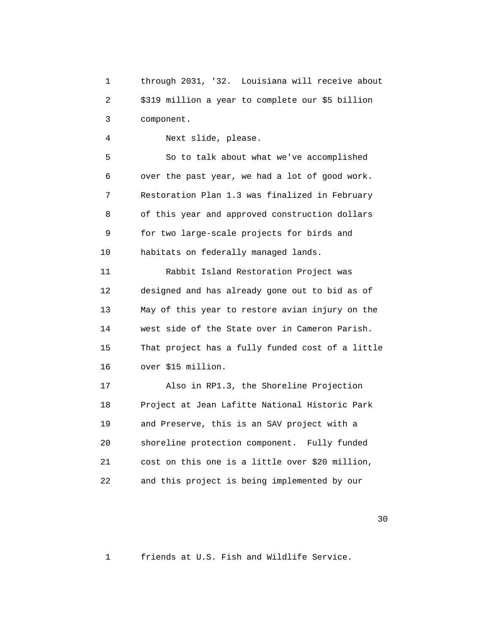1 through 2031, '32. Louisiana will receive about 2 \$319 million a year to complete our \$5 billion 3 component.

4 Next slide, please.

 5 So to talk about what we've accomplished 6 over the past year, we had a lot of good work. 7 Restoration Plan 1.3 was finalized in February 8 of this year and approved construction dollars 9 for two large-scale projects for birds and 10 habitats on federally managed lands.

 11 Rabbit Island Restoration Project was 12 designed and has already gone out to bid as of 13 May of this year to restore avian injury on the 14 west side of the State over in Cameron Parish. 15 That project has a fully funded cost of a little 16 over \$15 million.

 17 Also in RP1.3, the Shoreline Projection 18 Project at Jean Lafitte National Historic Park 19 and Preserve, this is an SAV project with a 20 shoreline protection component. Fully funded 21 cost on this one is a little over \$20 million, 22 and this project is being implemented by our

 $30<sup>2</sup>$ 

1 friends at U.S. Fish and Wildlife Service.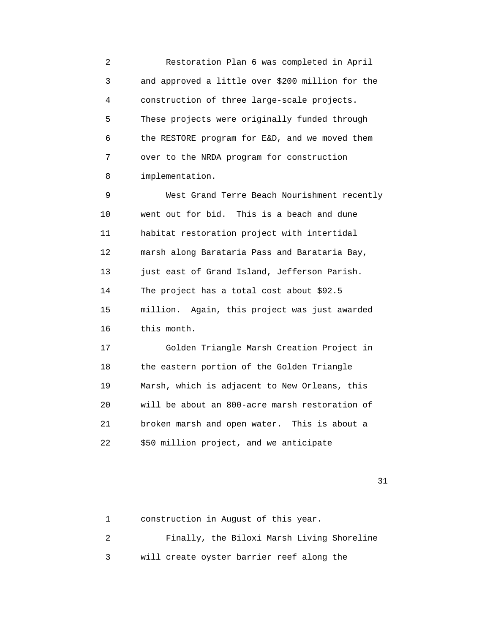2 Restoration Plan 6 was completed in April 3 and approved a little over \$200 million for the 4 construction of three large-scale projects. 5 These projects were originally funded through 6 the RESTORE program for E&D, and we moved them 7 over to the NRDA program for construction 8 implementation.

 9 West Grand Terre Beach Nourishment recently 10 went out for bid. This is a beach and dune 11 habitat restoration project with intertidal 12 marsh along Barataria Pass and Barataria Bay, 13 just east of Grand Island, Jefferson Parish. 14 The project has a total cost about \$92.5 15 million. Again, this project was just awarded 16 this month.

 17 Golden Triangle Marsh Creation Project in 18 the eastern portion of the Golden Triangle 19 Marsh, which is adjacent to New Orleans, this 20 will be about an 800-acre marsh restoration of 21 broken marsh and open water. This is about a 22 \$50 million project, and we anticipate

```
 1 construction in August of this year.
2 Finally, the Biloxi Marsh Living Shoreline
3 will create oyster barrier reef along the
```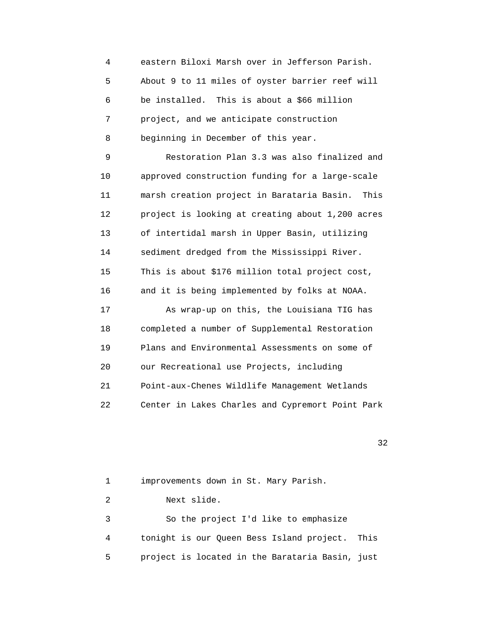4 eastern Biloxi Marsh over in Jefferson Parish. 5 About 9 to 11 miles of oyster barrier reef will 6 be installed. This is about a \$66 million 7 project, and we anticipate construction 8 beginning in December of this year. 9 Restoration Plan 3.3 was also finalized and 10 approved construction funding for a large-scale 11 marsh creation project in Barataria Basin. This 12 project is looking at creating about 1,200 acres 13 of intertidal marsh in Upper Basin, utilizing 14 sediment dredged from the Mississippi River. 15 This is about \$176 million total project cost, 16 and it is being implemented by folks at NOAA. 17 As wrap-up on this, the Louisiana TIG has 18 completed a number of Supplemental Restoration 19 Plans and Environmental Assessments on some of 20 our Recreational use Projects, including 21 Point-aux-Chenes Wildlife Management Wetlands 22 Center in Lakes Charles and Cypremort Point Park

32

 1 improvements down in St. Mary Parish. 2 Next slide. 3 So the project I'd like to emphasize 4 tonight is our Queen Bess Island project. This 5 project is located in the Barataria Basin, just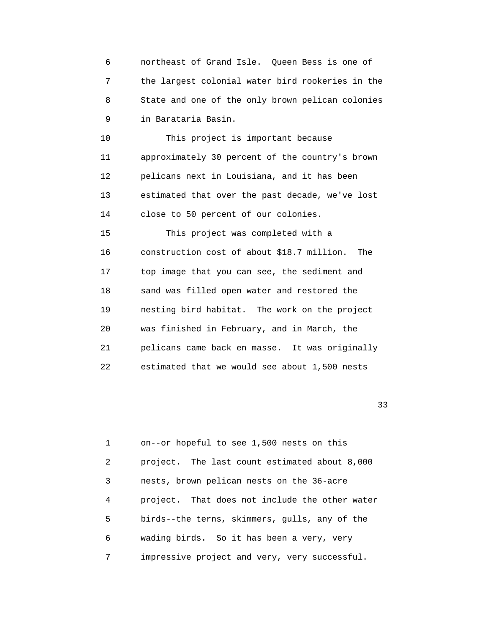6 northeast of Grand Isle. Queen Bess is one of 7 the largest colonial water bird rookeries in the 8 State and one of the only brown pelican colonies 9 in Barataria Basin.

 10 This project is important because 11 approximately 30 percent of the country's brown 12 pelicans next in Louisiana, and it has been 13 estimated that over the past decade, we've lost 14 close to 50 percent of our colonies.

 15 This project was completed with a 16 construction cost of about \$18.7 million. The 17 top image that you can see, the sediment and 18 sand was filled open water and restored the 19 nesting bird habitat. The work on the project 20 was finished in February, and in March, the 21 pelicans came back en masse. It was originally 22 estimated that we would see about 1,500 nests

 $33$ 

 1 on--or hopeful to see 1,500 nests on this 2 project. The last count estimated about 8,000 3 nests, brown pelican nests on the 36-acre 4 project. That does not include the other water 5 birds--the terns, skimmers, gulls, any of the 6 wading birds. So it has been a very, very 7 impressive project and very, very successful.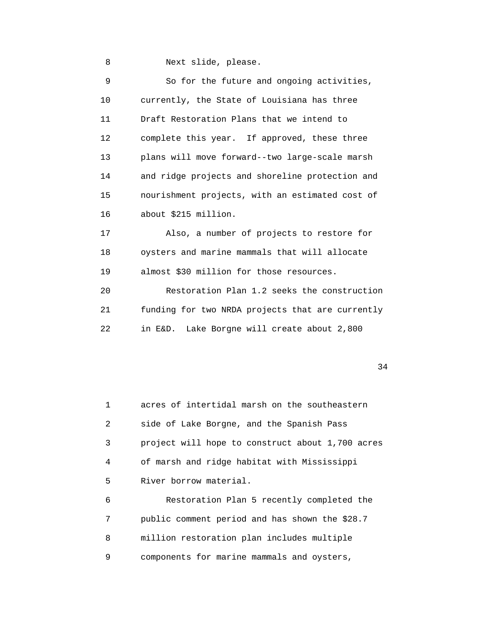8 Next slide, please.

| 9  | So for the future and ongoing activities,        |
|----|--------------------------------------------------|
| 10 | currently, the State of Louisiana has three      |
| 11 | Draft Restoration Plans that we intend to        |
| 12 | complete this year. If approved, these three     |
| 13 | plans will move forward--two large-scale marsh   |
| 14 | and ridge projects and shoreline protection and  |
| 15 | nourishment projects, with an estimated cost of  |
| 16 | about \$215 million.                             |
| 17 | Also, a number of projects to restore for        |
| 18 | oysters and marine mammals that will allocate    |
| 19 | almost \$30 million for those resources.         |
| 20 | Restoration Plan 1.2 seeks the construction      |
| 21 | funding for two NRDA projects that are currently |
| 22 | in E&D. Lake Borgne will create about 2,800      |

34

 1 acres of intertidal marsh on the southeastern 2 side of Lake Borgne, and the Spanish Pass 3 project will hope to construct about 1,700 acres 4 of marsh and ridge habitat with Mississippi 5 River borrow material.

 6 Restoration Plan 5 recently completed the 7 public comment period and has shown the \$28.7 8 million restoration plan includes multiple 9 components for marine mammals and oysters,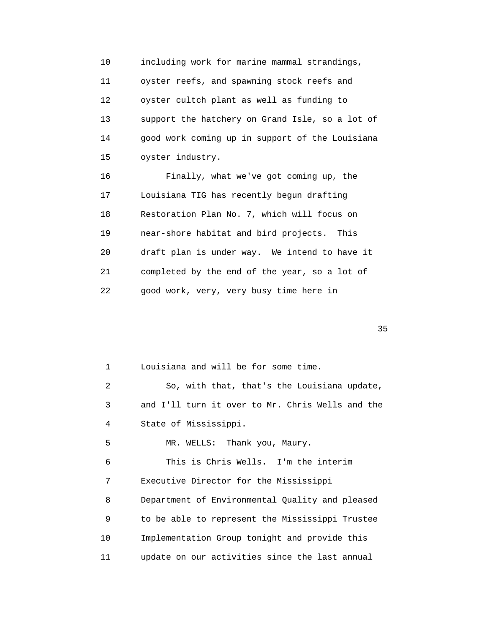10 including work for marine mammal strandings, 11 oyster reefs, and spawning stock reefs and 12 oyster cultch plant as well as funding to 13 support the hatchery on Grand Isle, so a lot of 14 good work coming up in support of the Louisiana 15 oyster industry. 16 Finally, what we've got coming up, the 17 Louisiana TIG has recently begun drafting 18 Restoration Plan No. 7, which will focus on 19 near-shore habitat and bird projects. This 20 draft plan is under way. We intend to have it

21 completed by the end of the year, so a lot of

22 good work, very, very busy time here in

 $35$ 

 1 Louisiana and will be for some time. 2 So, with that, that's the Louisiana update, 3 and I'll turn it over to Mr. Chris Wells and the 4 State of Mississippi. 5 MR. WELLS: Thank you, Maury. 6 This is Chris Wells. I'm the interim 7 Executive Director for the Mississippi 8 Department of Environmental Quality and pleased 9 to be able to represent the Mississippi Trustee 10 Implementation Group tonight and provide this 11 update on our activities since the last annual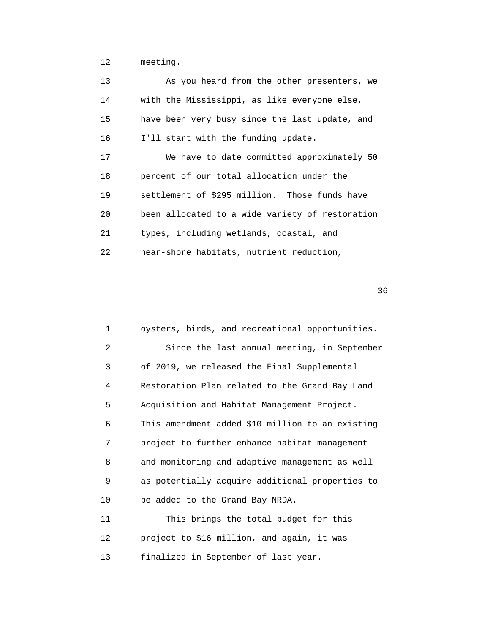12 meeting.

| 13 | As you heard from the other presenters, we      |
|----|-------------------------------------------------|
| 14 | with the Mississippi, as like everyone else,    |
| 15 | have been very busy since the last update, and  |
| 16 | I'll start with the funding update.             |
| 17 | We have to date committed approximately 50      |
| 18 | percent of our total allocation under the       |
| 19 | settlement of \$295 million. Those funds have   |
| 20 | been allocated to a wide variety of restoration |
| 21 | types, including wetlands, coastal, and         |
| 22 | near-shore habitats, nutrient reduction,        |

| 1                 | oysters, birds, and recreational opportunities.  |
|-------------------|--------------------------------------------------|
| 2                 | Since the last annual meeting, in September      |
| 3                 | of 2019, we released the Final Supplemental      |
| 4                 | Restoration Plan related to the Grand Bay Land   |
| 5                 | Acquisition and Habitat Management Project.      |
| 6                 | This amendment added \$10 million to an existing |
| 7                 | project to further enhance habitat management    |
| 8                 | and monitoring and adaptive management as well   |
| 9                 | as potentially acquire additional properties to  |
| 10                | be added to the Grand Bay NRDA.                  |
| 11                | This brings the total budget for this            |
| $12 \overline{ }$ | project to \$16 million, and again, it was       |
| 13                | finalized in September of last year.             |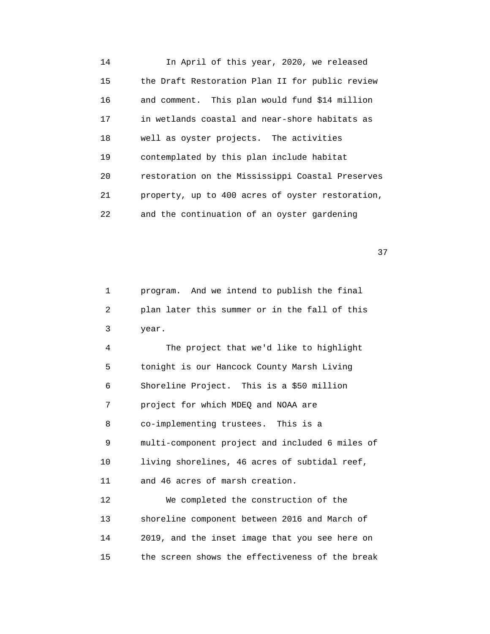14 In April of this year, 2020, we released 15 the Draft Restoration Plan II for public review 16 and comment. This plan would fund \$14 million 17 in wetlands coastal and near-shore habitats as 18 well as oyster projects. The activities 19 contemplated by this plan include habitat 20 restoration on the Mississippi Coastal Preserves 21 property, up to 400 acres of oyster restoration, 22 and the continuation of an oyster gardening

37

 1 program. And we intend to publish the final 2 plan later this summer or in the fall of this 3 year.

 4 The project that we'd like to highlight 5 tonight is our Hancock County Marsh Living 6 Shoreline Project. This is a \$50 million 7 project for which MDEQ and NOAA are 8 co-implementing trustees. This is a 9 multi-component project and included 6 miles of 10 living shorelines, 46 acres of subtidal reef, 11 and 46 acres of marsh creation. 12 We completed the construction of the 13 shoreline component between 2016 and March of 14 2019, and the inset image that you see here on 15 the screen shows the effectiveness of the break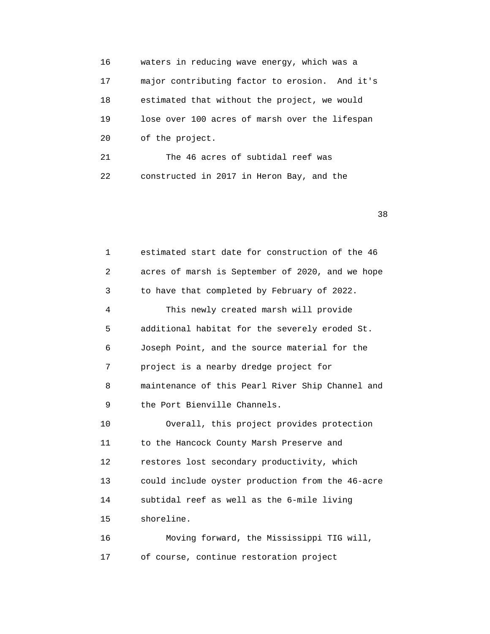16 waters in reducing wave energy, which was a 17 major contributing factor to erosion. And it's 18 estimated that without the project, we would 19 lose over 100 acres of marsh over the lifespan 20 of the project. 21 The 46 acres of subtidal reef was 22 constructed in 2017 in Heron Bay, and the

 $38<sup>3</sup>$ 

 1 estimated start date for construction of the 46 2 acres of marsh is September of 2020, and we hope 3 to have that completed by February of 2022. 4 This newly created marsh will provide 5 additional habitat for the severely eroded St. 6 Joseph Point, and the source material for the 7 project is a nearby dredge project for 8 maintenance of this Pearl River Ship Channel and 9 the Port Bienville Channels. 10 Overall, this project provides protection 11 to the Hancock County Marsh Preserve and 12 restores lost secondary productivity, which 13 could include oyster production from the 46-acre 14 subtidal reef as well as the 6-mile living 15 shoreline. 16 Moving forward, the Mississippi TIG will, 17 of course, continue restoration project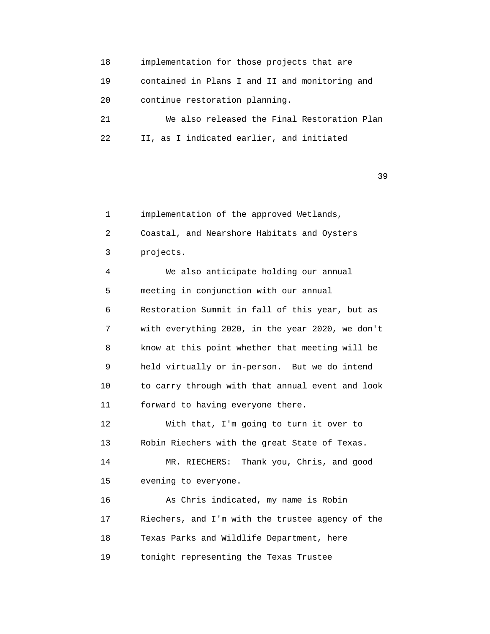18 implementation for those projects that are 19 contained in Plans I and II and monitoring and 20 continue restoration planning. 21 We also released the Final Restoration Plan 22 II, as I indicated earlier, and initiated

 $39$ 

 1 implementation of the approved Wetlands, 2 Coastal, and Nearshore Habitats and Oysters 3 projects. 4 We also anticipate holding our annual 5 meeting in conjunction with our annual 6 Restoration Summit in fall of this year, but as 7 with everything 2020, in the year 2020, we don't 8 know at this point whether that meeting will be 9 held virtually or in-person. But we do intend 10 to carry through with that annual event and look 11 forward to having everyone there. 12 With that, I'm going to turn it over to 13 Robin Riechers with the great State of Texas. 14 MR. RIECHERS: Thank you, Chris, and good 15 evening to everyone. 16 As Chris indicated, my name is Robin 17 Riechers, and I'm with the trustee agency of the 18 Texas Parks and Wildlife Department, here 19 tonight representing the Texas Trustee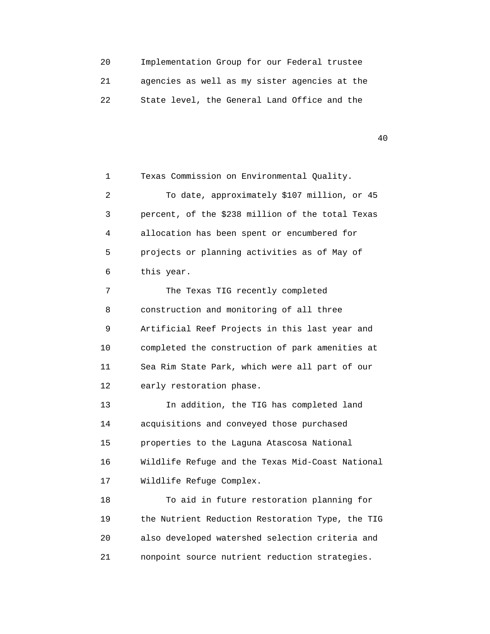20 Implementation Group for our Federal trustee 21 agencies as well as my sister agencies at the 22 State level, the General Land Office and the

40

 1 Texas Commission on Environmental Quality. 2 To date, approximately \$107 million, or 45 3 percent, of the \$238 million of the total Texas 4 allocation has been spent or encumbered for 5 projects or planning activities as of May of 6 this year. 7 The Texas TIG recently completed 8 construction and monitoring of all three 9 Artificial Reef Projects in this last year and 10 completed the construction of park amenities at 11 Sea Rim State Park, which were all part of our 12 early restoration phase. 13 In addition, the TIG has completed land 14 acquisitions and conveyed those purchased 15 properties to the Laguna Atascosa National 16 Wildlife Refuge and the Texas Mid-Coast National 17 Wildlife Refuge Complex. 18 To aid in future restoration planning for 19 the Nutrient Reduction Restoration Type, the TIG 20 also developed watershed selection criteria and 21 nonpoint source nutrient reduction strategies.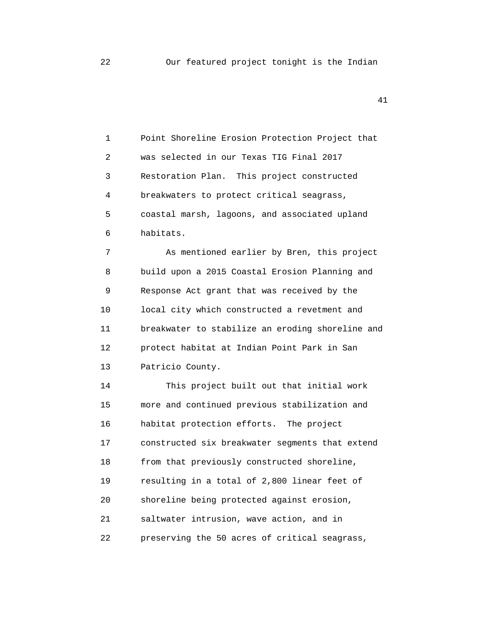1 Point Shoreline Erosion Protection Project that 2 was selected in our Texas TIG Final 2017 3 Restoration Plan. This project constructed 4 breakwaters to protect critical seagrass, 5 coastal marsh, lagoons, and associated upland 6 habitats.

 7 As mentioned earlier by Bren, this project 8 build upon a 2015 Coastal Erosion Planning and 9 Response Act grant that was received by the 10 local city which constructed a revetment and 11 breakwater to stabilize an eroding shoreline and 12 protect habitat at Indian Point Park in San 13 Patricio County.

 14 This project built out that initial work 15 more and continued previous stabilization and 16 habitat protection efforts. The project 17 constructed six breakwater segments that extend 18 from that previously constructed shoreline, 19 resulting in a total of 2,800 linear feet of 20 shoreline being protected against erosion, 21 saltwater intrusion, wave action, and in 22 preserving the 50 acres of critical seagrass,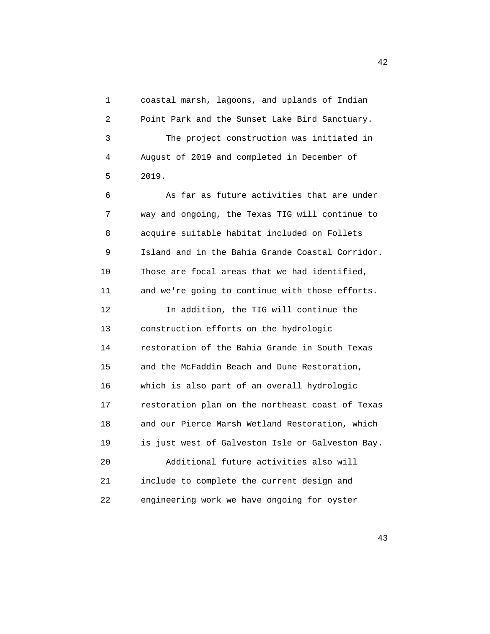1 coastal marsh, lagoons, and uplands of Indian 2 Point Park and the Sunset Lake Bird Sanctuary. 3 The project construction was initiated in 4 August of 2019 and completed in December of 5 2019. 6 As far as future activities that are under 7 way and ongoing, the Texas TIG will continue to 8 acquire suitable habitat included on Follets 9 Island and in the Bahia Grande Coastal Corridor. 10 Those are focal areas that we had identified, 11 and we're going to continue with those efforts. 12 In addition, the TIG will continue the 13 construction efforts on the hydrologic 14 restoration of the Bahia Grande in South Texas 15 and the McFaddin Beach and Dune Restoration, 16 which is also part of an overall hydrologic 17 restoration plan on the northeast coast of Texas 18 and our Pierce Marsh Wetland Restoration, which 19 is just west of Galveston Isle or Galveston Bay. 20 Additional future activities also will 21 include to complete the current design and 22 engineering work we have ongoing for oyster

43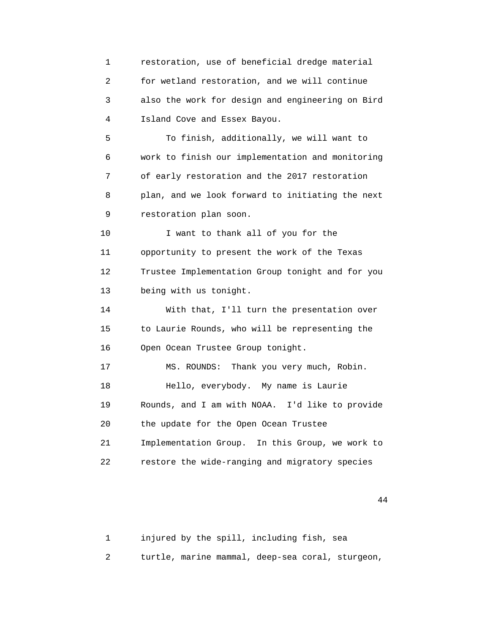1 restoration, use of beneficial dredge material 2 for wetland restoration, and we will continue 3 also the work for design and engineering on Bird 4 Island Cove and Essex Bayou. 5 To finish, additionally, we will want to 6 work to finish our implementation and monitoring 7 of early restoration and the 2017 restoration 8 plan, and we look forward to initiating the next 9 restoration plan soon. 10 I want to thank all of you for the 11 opportunity to present the work of the Texas 12 Trustee Implementation Group tonight and for you 13 being with us tonight. 14 With that, I'll turn the presentation over 15 to Laurie Rounds, who will be representing the 16 Open Ocean Trustee Group tonight. 17 MS. ROUNDS: Thank you very much, Robin. 18 Hello, everybody. My name is Laurie 19 Rounds, and I am with NOAA. I'd like to provide 20 the update for the Open Ocean Trustee 21 Implementation Group. In this Group, we work to 22 restore the wide-ranging and migratory species

44

 1 injured by the spill, including fish, sea 2 turtle, marine mammal, deep-sea coral, sturgeon,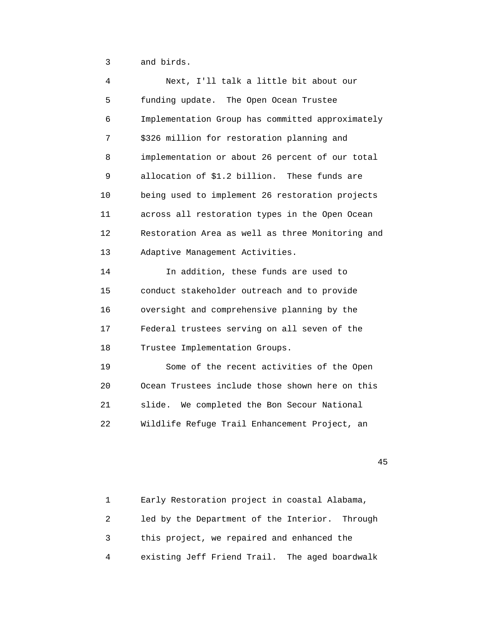3 and birds.

| 4  | Next, I'll talk a little bit about our           |
|----|--------------------------------------------------|
| 5  | funding update. The Open Ocean Trustee           |
| 6  | Implementation Group has committed approximately |
| 7  | \$326 million for restoration planning and       |
| 8  | implementation or about 26 percent of our total  |
| 9  | allocation of \$1.2 billion. These funds are     |
| 10 | being used to implement 26 restoration projects  |
| 11 | across all restoration types in the Open Ocean   |
| 12 | Restoration Area as well as three Monitoring and |
| 13 | Adaptive Management Activities.                  |
| 14 | In addition, these funds are used to             |
| 15 | conduct stakeholder outreach and to provide      |
| 16 | oversight and comprehensive planning by the      |
| 17 | Federal trustees serving on all seven of the     |
| 18 | Trustee Implementation Groups.                   |
| 19 | Some of the recent activities of the Open        |
| 20 | Ocean Trustees include those shown here on this  |
| 21 | slide. We completed the Bon Secour National      |
| 22 | Wildlife Refuge Trail Enhancement Project, an    |
|    |                                                  |

45

 1 Early Restoration project in coastal Alabama, 2 led by the Department of the Interior. Through 3 this project, we repaired and enhanced the 4 existing Jeff Friend Trail. The aged boardwalk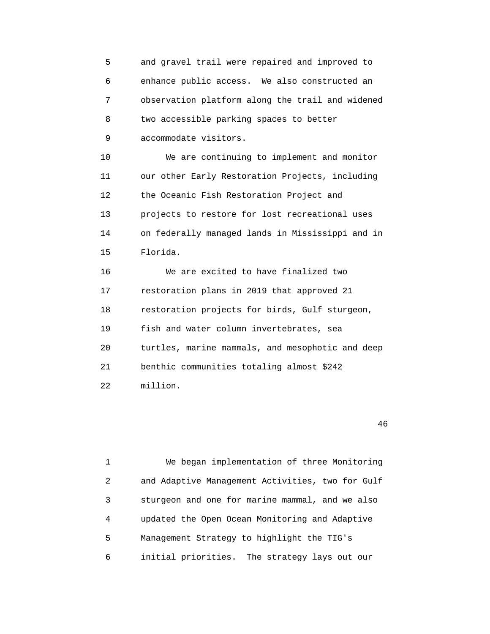5 and gravel trail were repaired and improved to 6 enhance public access. We also constructed an 7 observation platform along the trail and widened 8 two accessible parking spaces to better 9 accommodate visitors.

 10 We are continuing to implement and monitor 11 our other Early Restoration Projects, including 12 the Oceanic Fish Restoration Project and 13 projects to restore for lost recreational uses 14 on federally managed lands in Mississippi and in 15 Florida.

 16 We are excited to have finalized two 17 restoration plans in 2019 that approved 21 18 restoration projects for birds, Gulf sturgeon, 19 fish and water column invertebrates, sea 20 turtles, marine mammals, and mesophotic and deep 21 benthic communities totaling almost \$242 22 million.

46

 1 We began implementation of three Monitoring 2 and Adaptive Management Activities, two for Gulf 3 sturgeon and one for marine mammal, and we also 4 updated the Open Ocean Monitoring and Adaptive 5 Management Strategy to highlight the TIG's 6 initial priorities. The strategy lays out our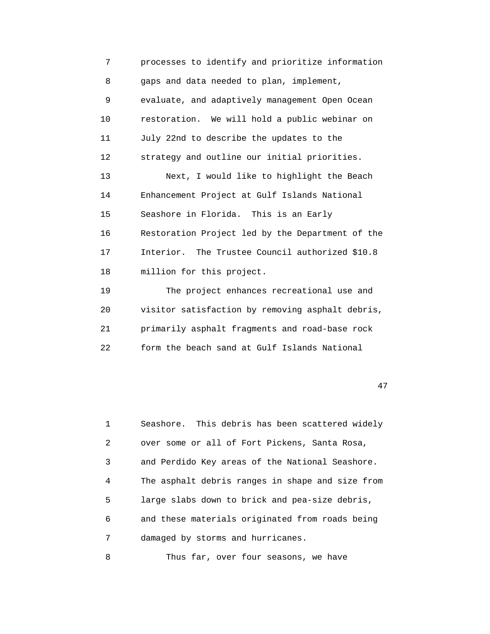7 processes to identify and prioritize information 8 gaps and data needed to plan, implement, 9 evaluate, and adaptively management Open Ocean 10 restoration. We will hold a public webinar on 11 July 22nd to describe the updates to the 12 strategy and outline our initial priorities. 13 Next, I would like to highlight the Beach 14 Enhancement Project at Gulf Islands National 15 Seashore in Florida. This is an Early 16 Restoration Project led by the Department of the 17 Interior. The Trustee Council authorized \$10.8 18 million for this project. 19 The project enhances recreational use and 20 visitor satisfaction by removing asphalt debris,

 21 primarily asphalt fragments and road-base rock 22 form the beach sand at Gulf Islands National

47

 1 Seashore. This debris has been scattered widely 2 over some or all of Fort Pickens, Santa Rosa, 3 and Perdido Key areas of the National Seashore. 4 The asphalt debris ranges in shape and size from 5 large slabs down to brick and pea-size debris, 6 and these materials originated from roads being 7 damaged by storms and hurricanes.

8 Thus far, over four seasons, we have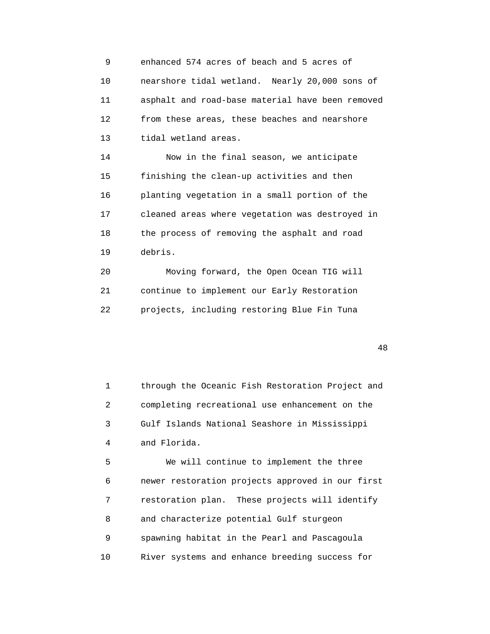9 enhanced 574 acres of beach and 5 acres of 10 nearshore tidal wetland. Nearly 20,000 sons of 11 asphalt and road-base material have been removed 12 from these areas, these beaches and nearshore 13 tidal wetland areas.

 14 Now in the final season, we anticipate 15 finishing the clean-up activities and then 16 planting vegetation in a small portion of the 17 cleaned areas where vegetation was destroyed in 18 the process of removing the asphalt and road 19 debris.

 20 Moving forward, the Open Ocean TIG will 21 continue to implement our Early Restoration 22 projects, including restoring Blue Fin Tuna

48

 1 through the Oceanic Fish Restoration Project and 2 completing recreational use enhancement on the 3 Gulf Islands National Seashore in Mississippi 4 and Florida.

 5 We will continue to implement the three 6 newer restoration projects approved in our first 7 restoration plan. These projects will identify 8 and characterize potential Gulf sturgeon 9 spawning habitat in the Pearl and Pascagoula 10 River systems and enhance breeding success for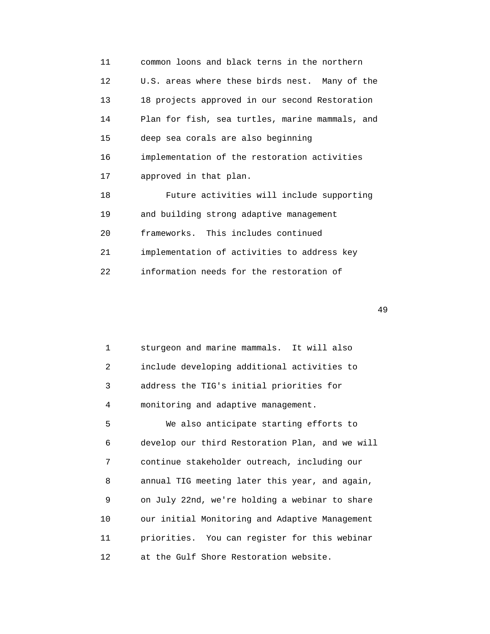11 common loons and black terns in the northern 12 U.S. areas where these birds nest. Many of the 13 18 projects approved in our second Restoration 14 Plan for fish, sea turtles, marine mammals, and 15 deep sea corals are also beginning 16 implementation of the restoration activities 17 approved in that plan. 18 Future activities will include supporting 19 and building strong adaptive management 20 frameworks. This includes continued 21 implementation of activities to address key 22 information needs for the restoration of

49

 1 sturgeon and marine mammals. It will also 2 include developing additional activities to 3 address the TIG's initial priorities for 4 monitoring and adaptive management. 5 We also anticipate starting efforts to 6 develop our third Restoration Plan, and we will 7 continue stakeholder outreach, including our 8 annual TIG meeting later this year, and again, 9 on July 22nd, we're holding a webinar to share 10 our initial Monitoring and Adaptive Management 11 priorities. You can register for this webinar 12 at the Gulf Shore Restoration website.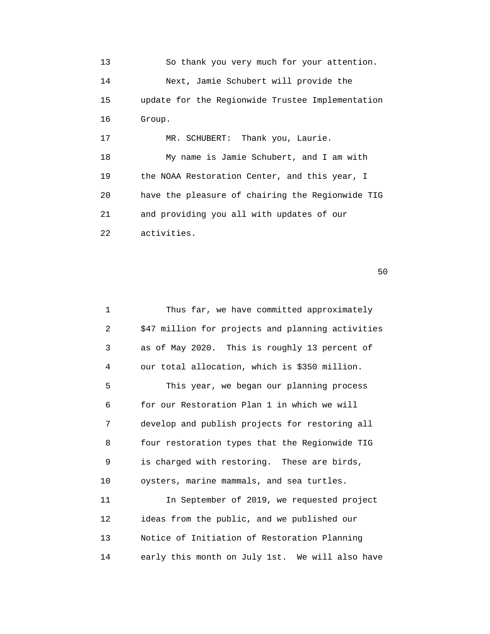13 So thank you very much for your attention. 14 Next, Jamie Schubert will provide the 15 update for the Regionwide Trustee Implementation 16 Group. 17 MR. SCHUBERT: Thank you, Laurie. 18 My name is Jamie Schubert, and I am with 19 the NOAA Restoration Center, and this year, I 20 have the pleasure of chairing the Regionwide TIG 21 and providing you all with updates of our 22 activities.

| $\mathbf{1}$ | Thus far, we have committed approximately         |
|--------------|---------------------------------------------------|
| 2            | \$47 million for projects and planning activities |
| 3            | as of May 2020. This is roughly 13 percent of     |
| 4            | our total allocation, which is \$350 million.     |
| 5            | This year, we began our planning process          |
| 6            | for our Restoration Plan 1 in which we will       |
| 7            | develop and publish projects for restoring all    |
| 8            | four restoration types that the Regionwide TIG    |
| 9            | is charged with restoring. These are birds,       |
| 10           | oysters, marine mammals, and sea turtles.         |
| 11           | In September of 2019, we requested project        |
| 12           | ideas from the public, and we published our       |
| 13           | Notice of Initiation of Restoration Planning      |
| 14           | early this month on July 1st. We will also have   |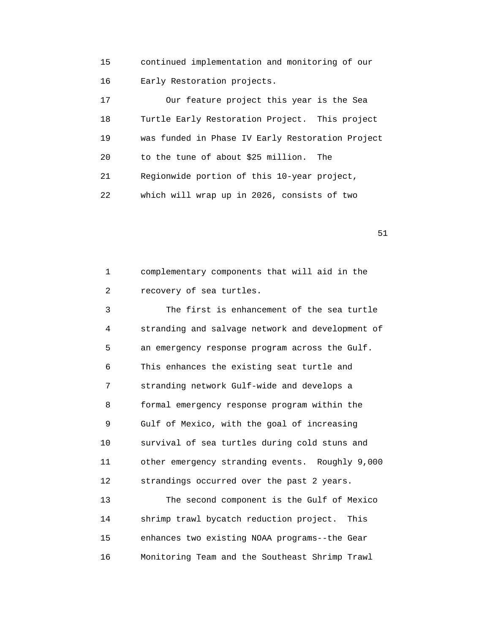15 continued implementation and monitoring of our 16 Early Restoration projects.

 17 Our feature project this year is the Sea 18 Turtle Early Restoration Project. This project 19 was funded in Phase IV Early Restoration Project 20 to the tune of about \$25 million. The 21 Regionwide portion of this 10-year project, 22 which will wrap up in 2026, consists of two

51

 1 complementary components that will aid in the 2 recovery of sea turtles.

 3 The first is enhancement of the sea turtle 4 stranding and salvage network and development of 5 an emergency response program across the Gulf. 6 This enhances the existing seat turtle and 7 stranding network Gulf-wide and develops a 8 formal emergency response program within the 9 Gulf of Mexico, with the goal of increasing 10 survival of sea turtles during cold stuns and 11 other emergency stranding events. Roughly 9,000 12 strandings occurred over the past 2 years. 13 The second component is the Gulf of Mexico 14 shrimp trawl bycatch reduction project. This

 15 enhances two existing NOAA programs--the Gear 16 Monitoring Team and the Southeast Shrimp Trawl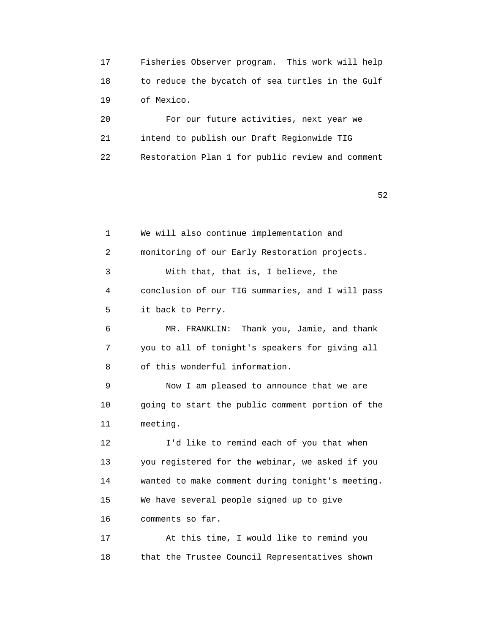17 Fisheries Observer program. This work will help 18 to reduce the bycatch of sea turtles in the Gulf 19 of Mexico.

 20 For our future activities, next year we 21 intend to publish our Draft Regionwide TIG 22 Restoration Plan 1 for public review and comment

 $52$ 

 1 We will also continue implementation and 2 monitoring of our Early Restoration projects. 3 With that, that is, I believe, the 4 conclusion of our TIG summaries, and I will pass 5 it back to Perry. 6 MR. FRANKLIN: Thank you, Jamie, and thank 7 you to all of tonight's speakers for giving all 8 of this wonderful information. 9 Now I am pleased to announce that we are 10 going to start the public comment portion of the 11 meeting. 12 I'd like to remind each of you that when 13 you registered for the webinar, we asked if you 14 wanted to make comment during tonight's meeting. 15 We have several people signed up to give 16 comments so far. 17 At this time, I would like to remind you 18 that the Trustee Council Representatives shown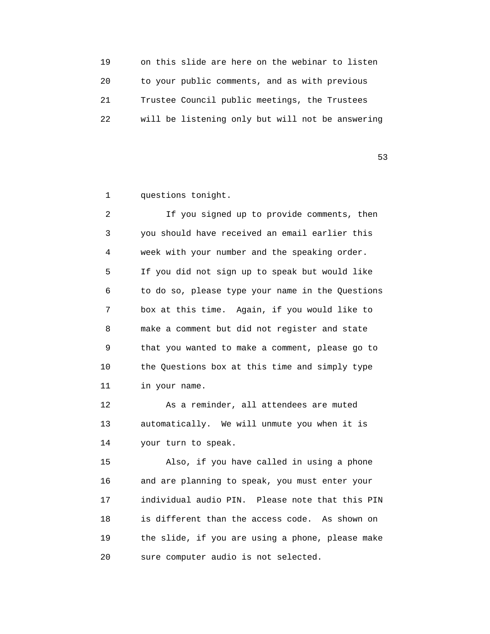| 19 | on this slide are here on the webinar to listen  |
|----|--------------------------------------------------|
| 20 | to your public comments, and as with previous    |
| 21 | Trustee Council public meetings, the Trustees    |
| 22 | will be listening only but will not be answering |

 $53$ 

1 questions tonight.

 2 If you signed up to provide comments, then 3 you should have received an email earlier this 4 week with your number and the speaking order. 5 If you did not sign up to speak but would like 6 to do so, please type your name in the Questions 7 box at this time. Again, if you would like to 8 make a comment but did not register and state 9 that you wanted to make a comment, please go to 10 the Questions box at this time and simply type 11 in your name.

 12 As a reminder, all attendees are muted 13 automatically. We will unmute you when it is 14 your turn to speak.

 15 Also, if you have called in using a phone 16 and are planning to speak, you must enter your 17 individual audio PIN. Please note that this PIN 18 is different than the access code. As shown on 19 the slide, if you are using a phone, please make 20 sure computer audio is not selected.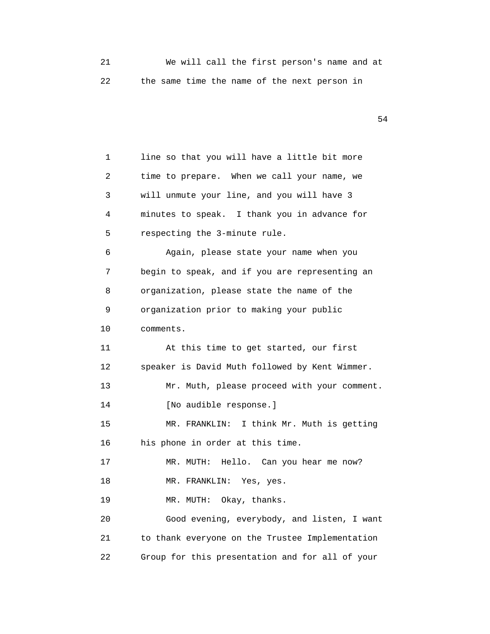|  |  |  | We will call the first person's name and at  |  |  |
|--|--|--|----------------------------------------------|--|--|
|  |  |  | the same time the name of the next person in |  |  |

| 1  | line so that you will have a little bit more    |
|----|-------------------------------------------------|
| 2  | time to prepare. When we call your name, we     |
| 3  | will unmute your line, and you will have 3      |
| 4  | minutes to speak. I thank you in advance for    |
| 5  | respecting the 3-minute rule.                   |
| 6  | Again, please state your name when you          |
| 7  | begin to speak, and if you are representing an  |
| 8  | organization, please state the name of the      |
| 9  | organization prior to making your public        |
| 10 | comments.                                       |
| 11 | At this time to get started, our first          |
| 12 | speaker is David Muth followed by Kent Wimmer.  |
| 13 | Mr. Muth, please proceed with your comment.     |
| 14 | [No audible response.]                          |
| 15 | I think Mr. Muth is getting<br>MR. FRANKLIN:    |
| 16 | his phone in order at this time.                |
| 17 | Hello. Can you hear me now?<br>MR. MUTH:        |
| 18 | MR. FRANKLIN:<br>Yes, yes.                      |
| 19 | MR. MUTH: Okay, thanks.                         |
| 20 | Good evening, everybody, and listen, I want     |
| 21 | to thank everyone on the Trustee Implementation |
| 22 | Group for this presentation and for all of your |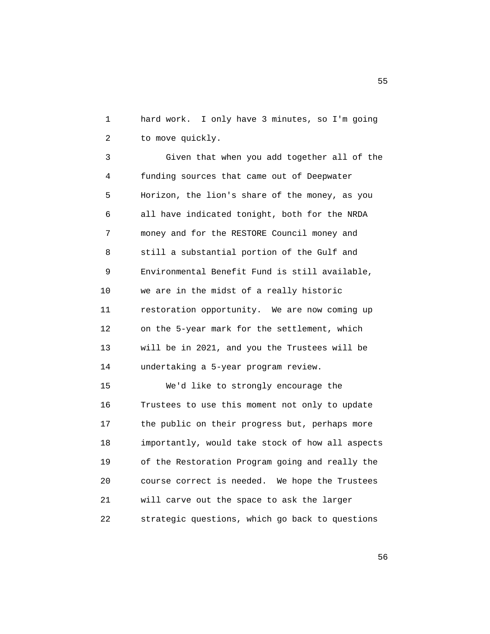1 hard work. I only have 3 minutes, so I'm going 2 to move quickly.

 3 Given that when you add together all of the 4 funding sources that came out of Deepwater 5 Horizon, the lion's share of the money, as you 6 all have indicated tonight, both for the NRDA 7 money and for the RESTORE Council money and 8 still a substantial portion of the Gulf and 9 Environmental Benefit Fund is still available, 10 we are in the midst of a really historic 11 restoration opportunity. We are now coming up 12 on the 5-year mark for the settlement, which 13 will be in 2021, and you the Trustees will be 14 undertaking a 5-year program review.

 15 We'd like to strongly encourage the 16 Trustees to use this moment not only to update 17 the public on their progress but, perhaps more 18 importantly, would take stock of how all aspects 19 of the Restoration Program going and really the 20 course correct is needed. We hope the Trustees 21 will carve out the space to ask the larger 22 strategic questions, which go back to questions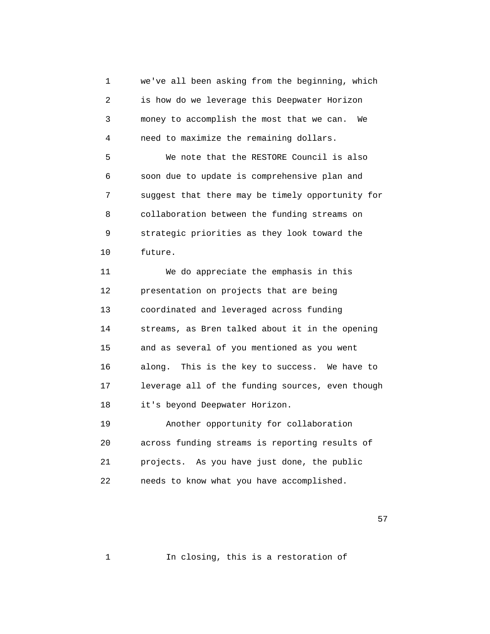1 we've all been asking from the beginning, which 2 is how do we leverage this Deepwater Horizon 3 money to accomplish the most that we can. We 4 need to maximize the remaining dollars. 5 We note that the RESTORE Council is also 6 soon due to update is comprehensive plan and 7 suggest that there may be timely opportunity for 8 collaboration between the funding streams on 9 strategic priorities as they look toward the 10 future. 11 We do appreciate the emphasis in this 12 presentation on projects that are being 13 coordinated and leveraged across funding 14 streams, as Bren talked about it in the opening 15 and as several of you mentioned as you went 16 along. This is the key to success. We have to 17 leverage all of the funding sources, even though 18 it's beyond Deepwater Horizon. 19 Another opportunity for collaboration 20 across funding streams is reporting results of 21 projects. As you have just done, the public

 $57$ 

1 In closing, this is a restoration of

22 needs to know what you have accomplished.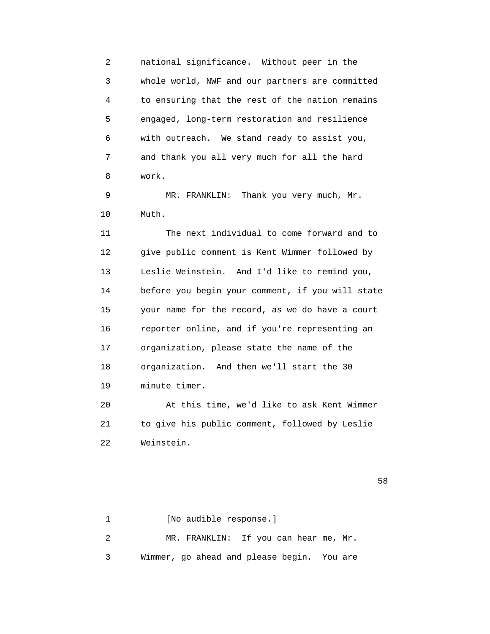2 national significance. Without peer in the 3 whole world, NWF and our partners are committed 4 to ensuring that the rest of the nation remains 5 engaged, long-term restoration and resilience 6 with outreach. We stand ready to assist you, 7 and thank you all very much for all the hard 8 work.

 9 MR. FRANKLIN: Thank you very much, Mr. 10 Muth.

 11 The next individual to come forward and to 12 give public comment is Kent Wimmer followed by 13 Leslie Weinstein. And I'd like to remind you, 14 before you begin your comment, if you will state 15 your name for the record, as we do have a court 16 reporter online, and if you're representing an 17 organization, please state the name of the 18 organization. And then we'll start the 30 19 minute timer.

 20 At this time, we'd like to ask Kent Wimmer 21 to give his public comment, followed by Leslie 22 Weinstein.

 $58$ 

1 [No audible response.] 2 MR. FRANKLIN: If you can hear me, Mr. 3 Wimmer, go ahead and please begin. You are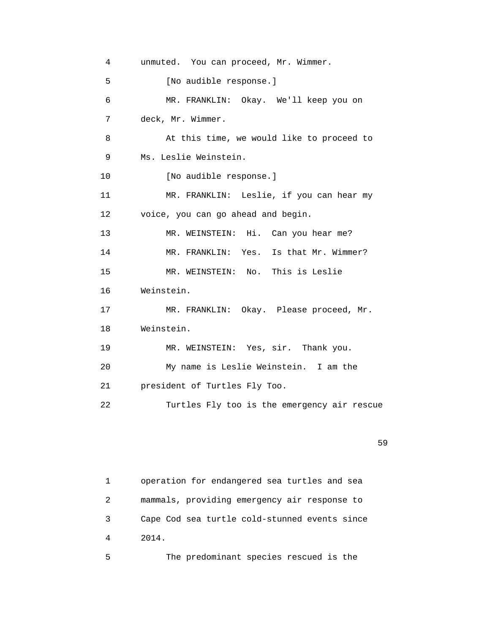| 4               | unmuted. You can proceed, Mr. Wimmer.       |
|-----------------|---------------------------------------------|
| 5               | [No audible response.]                      |
| 6               | MR. FRANKLIN: Okay. We'll keep you on       |
| 7               | deck, Mr. Wimmer.                           |
| 8               | At this time, we would like to proceed to   |
| 9               | Ms. Leslie Weinstein.                       |
| 10              | [No audible response.]                      |
| 11              | MR. FRANKLIN: Leslie, if you can hear my    |
| 12 <sub>1</sub> | voice, you can go ahead and begin.          |
| 13              | MR. WEINSTEIN: Hi. Can you hear me?         |
| 14              | MR. FRANKLIN: Yes. Is that Mr. Wimmer?      |
| 15              | MR. WEINSTEIN: No. This is Leslie           |
| 16              | Weinstein.                                  |
| 17              | MR. FRANKLIN: Okay. Please proceed, Mr.     |
| 18              | Weinstein.                                  |
| 19              | MR. WEINSTEIN: Yes, sir. Thank you.         |
| 20              | My name is Leslie Weinstein. I am the       |
| 21              | president of Turtles Fly Too.               |
| 22              | Turtles Fly too is the emergency air rescue |

59

 1 operation for endangered sea turtles and sea 2 mammals, providing emergency air response to 3 Cape Cod sea turtle cold-stunned events since 4 2014.

5 The predominant species rescued is the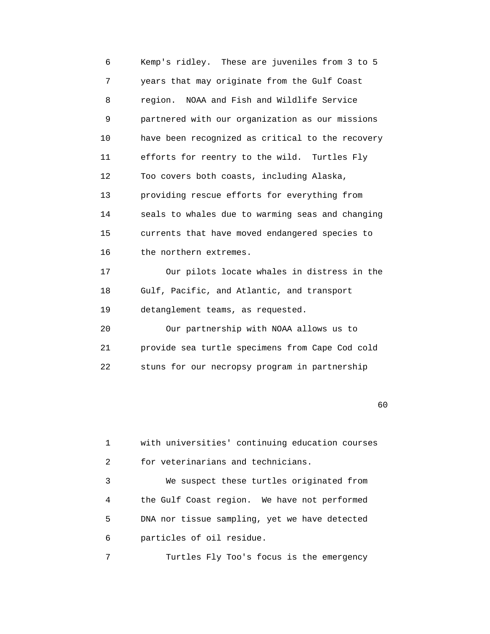6 Kemp's ridley. These are juveniles from 3 to 5 7 years that may originate from the Gulf Coast 8 region. NOAA and Fish and Wildlife Service 9 partnered with our organization as our missions 10 have been recognized as critical to the recovery 11 efforts for reentry to the wild. Turtles Fly 12 Too covers both coasts, including Alaska, 13 providing rescue efforts for everything from 14 seals to whales due to warming seas and changing 15 currents that have moved endangered species to 16 the northern extremes. 17 Our pilots locate whales in distress in the 18 Gulf, Pacific, and Atlantic, and transport 19 detanglement teams, as requested. 20 Our partnership with NOAA allows us to

 21 provide sea turtle specimens from Cape Cod cold 22 stuns for our necropsy program in partnership

 $\sim$  60

```
 1 with universities' continuing education courses
2 for veterinarians and technicians.
3 We suspect these turtles originated from
4 the Gulf Coast region. We have not performed
5 DNA nor tissue sampling, yet we have detected
6 particles of oil residue.
```
7 Turtles Fly Too's focus is the emergency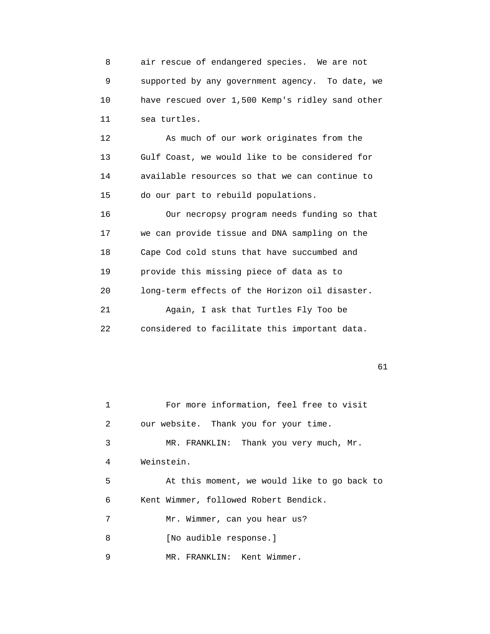8 air rescue of endangered species. We are not 9 supported by any government agency. To date, we 10 have rescued over 1,500 Kemp's ridley sand other 11 sea turtles.

 12 As much of our work originates from the 13 Gulf Coast, we would like to be considered for 14 available resources so that we can continue to 15 do our part to rebuild populations.

 16 Our necropsy program needs funding so that 17 we can provide tissue and DNA sampling on the 18 Cape Cod cold stuns that have succumbed and 19 provide this missing piece of data as to 20 long-term effects of the Horizon oil disaster. 21 Again, I ask that Turtles Fly Too be 22 considered to facilitate this important data.

|   | For more information, feel free to visit    |
|---|---------------------------------------------|
| 2 | our website. Thank you for your time.       |
| 3 | MR. FRANKLIN: Thank you very much, Mr.      |
| 4 | Weinstein.                                  |
| 5 | At this moment, we would like to go back to |
| 6 | Kent Wimmer, followed Robert Bendick.       |
| 7 | Mr. Wimmer, can you hear us?                |
| 8 | [No audible response.]                      |
| 9 | MR. FRANKLIN: Kent Wimmer.                  |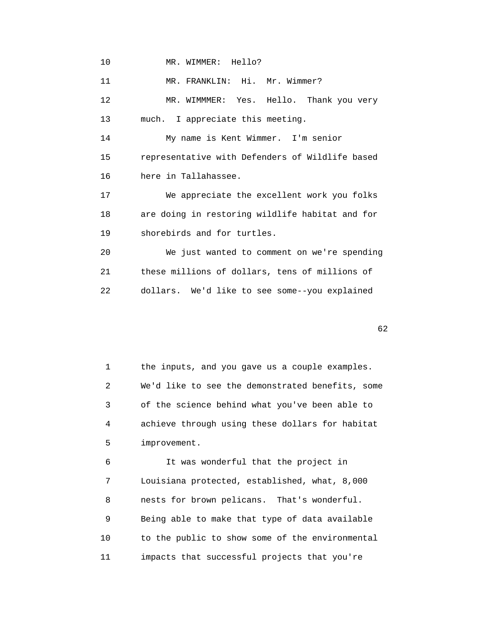10 MR. WIMMER: Hello?

11 MR. FRANKLIN: Hi. Mr. Wimmer? 12 MR. WIMMMER: Yes. Hello. Thank you very 13 much. I appreciate this meeting. 14 My name is Kent Wimmer. I'm senior 15 representative with Defenders of Wildlife based 16 here in Tallahassee. 17 We appreciate the excellent work you folks 18 are doing in restoring wildlife habitat and for 19 shorebirds and for turtles. 20 We just wanted to comment on we're spending 21 these millions of dollars, tens of millions of 22 dollars. We'd like to see some--you explained

 $\sim$  62

 1 the inputs, and you gave us a couple examples. 2 We'd like to see the demonstrated benefits, some 3 of the science behind what you've been able to 4 achieve through using these dollars for habitat 5 improvement.

 6 It was wonderful that the project in 7 Louisiana protected, established, what, 8,000 8 nests for brown pelicans. That's wonderful. 9 Being able to make that type of data available 10 to the public to show some of the environmental 11 impacts that successful projects that you're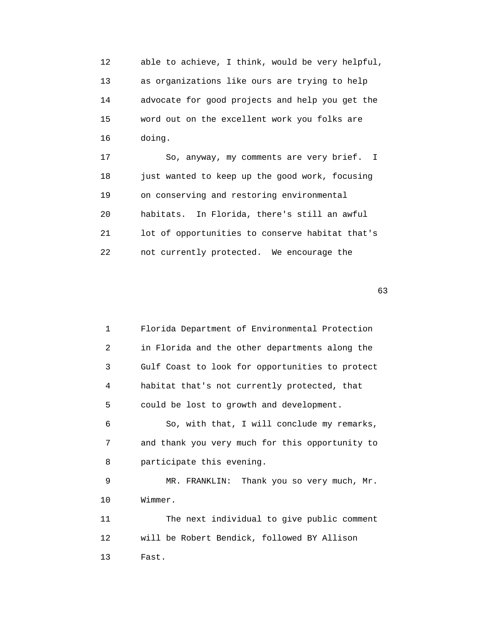12 able to achieve, I think, would be very helpful, 13 as organizations like ours are trying to help 14 advocate for good projects and help you get the 15 word out on the excellent work you folks are 16 doing.

 17 So, anyway, my comments are very brief. I 18 just wanted to keep up the good work, focusing 19 on conserving and restoring environmental 20 habitats. In Florida, there's still an awful 21 lot of opportunities to conserve habitat that's 22 not currently protected. We encourage the

 $\sim$  63

 1 Florida Department of Environmental Protection 2 in Florida and the other departments along the 3 Gulf Coast to look for opportunities to protect 4 habitat that's not currently protected, that 5 could be lost to growth and development. 6 So, with that, I will conclude my remarks, 7 and thank you very much for this opportunity to 8 participate this evening. 9 MR. FRANKLIN: Thank you so very much, Mr. 10 Wimmer. 11 The next individual to give public comment 12 will be Robert Bendick, followed BY Allison 13 Fast.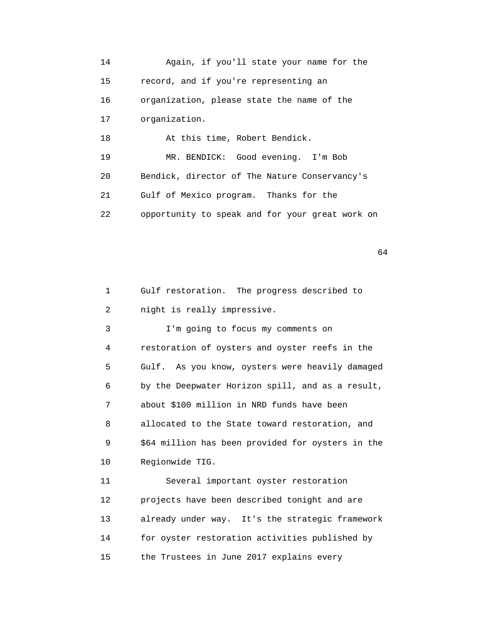14 Again, if you'll state your name for the 15 record, and if you're representing an 16 organization, please state the name of the 17 organization. 18 At this time, Robert Bendick. 19 MR. BENDICK: Good evening. I'm Bob 20 Bendick, director of The Nature Conservancy's 21 Gulf of Mexico program. Thanks for the 22 opportunity to speak and for your great work on

| 1       | Gulf restoration. The progress described to       |
|---------|---------------------------------------------------|
| 2       | night is really impressive.                       |
| 3       | I'm going to focus my comments on                 |
| 4       | restoration of oysters and oyster reefs in the    |
| 5       | Gulf. As you know, oysters were heavily damaged   |
| 6       | by the Deepwater Horizon spill, and as a result,  |
| 7       | about \$100 million in NRD funds have been        |
| 8       | allocated to the State toward restoration, and    |
| 9       | \$64 million has been provided for oysters in the |
| 10      | Regionwide TIG.                                   |
| 11      | Several important oyster restoration              |
| $12 \,$ | projects have been described tonight and are      |
| 13      | already under way. It's the strategic framework   |
| 14      | for oyster restoration activities published by    |
| 15      | the Trustees in June 2017 explains every          |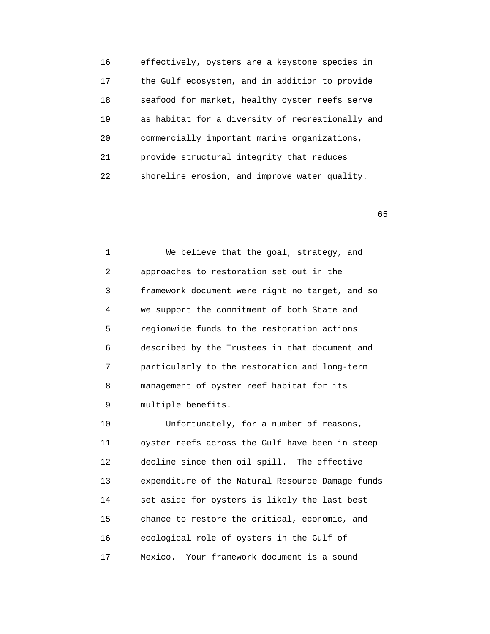16 effectively, oysters are a keystone species in 17 the Gulf ecosystem, and in addition to provide 18 seafood for market, healthy oyster reefs serve 19 as habitat for a diversity of recreationally and 20 commercially important marine organizations, 21 provide structural integrity that reduces 22 shoreline erosion, and improve water quality.

 $65$ 

 1 We believe that the goal, strategy, and 2 approaches to restoration set out in the 3 framework document were right no target, and so 4 we support the commitment of both State and 5 regionwide funds to the restoration actions 6 described by the Trustees in that document and 7 particularly to the restoration and long-term 8 management of oyster reef habitat for its 9 multiple benefits.

10 Unfortunately, for a number of reasons, 11 oyster reefs across the Gulf have been in steep 12 decline since then oil spill. The effective 13 expenditure of the Natural Resource Damage funds 14 set aside for oysters is likely the last best 15 chance to restore the critical, economic, and 16 ecological role of oysters in the Gulf of 17 Mexico. Your framework document is a sound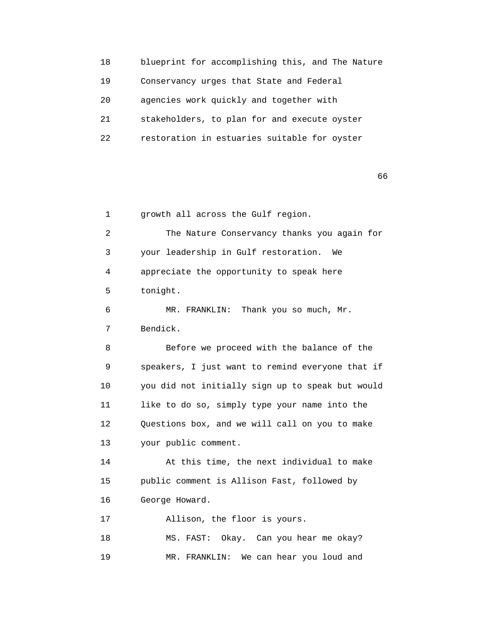18 blueprint for accomplishing this, and The Nature 19 Conservancy urges that State and Federal 20 agencies work quickly and together with 21 stakeholders, to plan for and execute oyster 22 restoration in estuaries suitable for oyster

 $\sim$  66

 1 growth all across the Gulf region. 2 The Nature Conservancy thanks you again for 3 your leadership in Gulf restoration. We 4 appreciate the opportunity to speak here 5 tonight. 6 MR. FRANKLIN: Thank you so much, Mr. 7 Bendick. 8 Before we proceed with the balance of the 9 speakers, I just want to remind everyone that if 10 you did not initially sign up to speak but would 11 like to do so, simply type your name into the 12 Questions box, and we will call on you to make 13 your public comment. 14 At this time, the next individual to make 15 public comment is Allison Fast, followed by 16 George Howard. 17 Allison, the floor is yours. 18 MS. FAST: Okay. Can you hear me okay?

19 MR. FRANKLIN: We can hear you loud and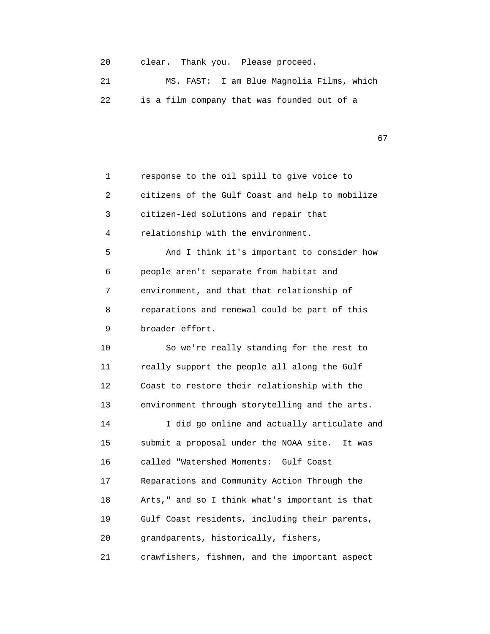20 clear. Thank you. Please proceed.

 21 MS. FAST: I am Blue Magnolia Films, which 22 is a film company that was founded out of a

67

 1 response to the oil spill to give voice to 2 citizens of the Gulf Coast and help to mobilize 3 citizen-led solutions and repair that 4 relationship with the environment. 5 And I think it's important to consider how 6 people aren't separate from habitat and 7 environment, and that that relationship of 8 reparations and renewal could be part of this 9 broader effort. 10 So we're really standing for the rest to 11 really support the people all along the Gulf 12 Coast to restore their relationship with the 13 environment through storytelling and the arts. 14 I did go online and actually articulate and 15 submit a proposal under the NOAA site. It was 16 called "Watershed Moments: Gulf Coast 17 Reparations and Community Action Through the 18 Arts," and so I think what's important is that 19 Gulf Coast residents, including their parents, 20 grandparents, historically, fishers, 21 crawfishers, fishmen, and the important aspect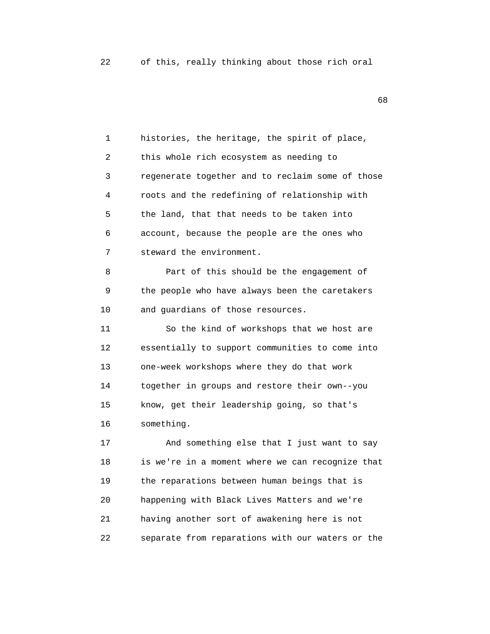en de la construcción de la construcción de la construcción de la construcción de la construcción de la construcción de la construcción de la construcción de la construcción de la construcción de la construcción de la cons

 1 histories, the heritage, the spirit of place, 2 this whole rich ecosystem as needing to 3 regenerate together and to reclaim some of those 4 roots and the redefining of relationship with 5 the land, that that needs to be taken into 6 account, because the people are the ones who 7 steward the environment. 8 Part of this should be the engagement of 9 the people who have always been the caretakers 10 and guardians of those resources. 11 So the kind of workshops that we host are 12 essentially to support communities to come into 13 one-week workshops where they do that work 14 together in groups and restore their own--you 15 know, get their leadership going, so that's 16 something. 17 And something else that I just want to say 18 is we're in a moment where we can recognize that 19 the reparations between human beings that is 20 happening with Black Lives Matters and we're 21 having another sort of awakening here is not 22 separate from reparations with our waters or the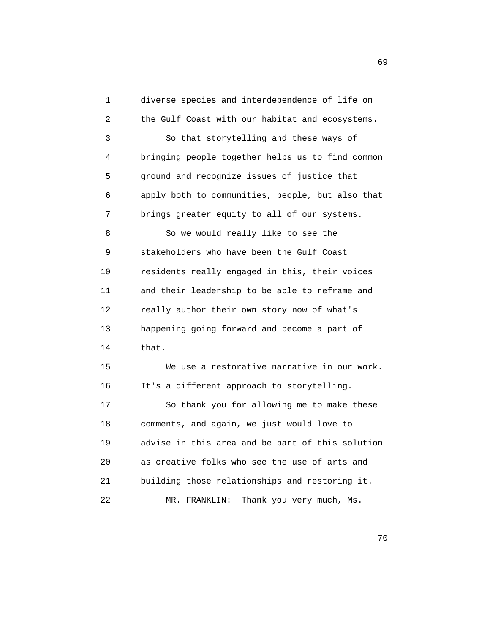| 1  | diverse species and interdependence of life on   |
|----|--------------------------------------------------|
| 2  | the Gulf Coast with our habitat and ecosystems.  |
| 3  | So that storytelling and these ways of           |
| 4  | bringing people together helps us to find common |
| 5  | ground and recognize issues of justice that      |
| 6  | apply both to communities, people, but also that |
| 7  | brings greater equity to all of our systems.     |
| 8  | So we would really like to see the               |
| 9  | stakeholders who have been the Gulf Coast        |
| 10 | residents really engaged in this, their voices   |
| 11 | and their leadership to be able to reframe and   |
| 12 | really author their own story now of what's      |
| 13 | happening going forward and become a part of     |
| 14 | that.                                            |
| 15 | We use a restorative narrative in our work.      |
| 16 | It's a different approach to storytelling.       |
| 17 | So thank you for allowing me to make these       |
| 18 | comments, and again, we just would love to       |
| 19 | advise in this area and be part of this solution |
| 20 | as creative folks who see the use of arts and    |
| 21 | building those relationships and restoring it.   |
| 22 | Thank you very much, Ms.<br>MR. FRANKLIN:        |

 $\sim$  69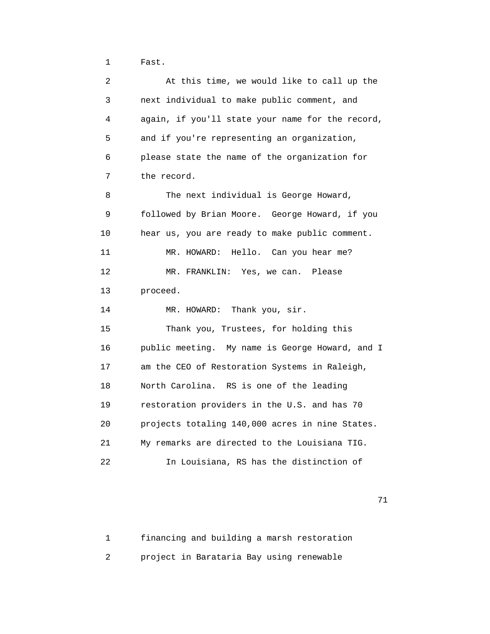1 Fast.

 2 At this time, we would like to call up the 3 next individual to make public comment, and 4 again, if you'll state your name for the record, 5 and if you're representing an organization, 6 please state the name of the organization for 7 the record. 8 The next individual is George Howard, 9 followed by Brian Moore. George Howard, if you 10 hear us, you are ready to make public comment. 11 MR. HOWARD: Hello. Can you hear me? 12 MR. FRANKLIN: Yes, we can. Please 13 proceed. 14 MR. HOWARD: Thank you, sir. 15 Thank you, Trustees, for holding this 16 public meeting. My name is George Howard, and I 17 am the CEO of Restoration Systems in Raleigh, 18 North Carolina. RS is one of the leading 19 restoration providers in the U.S. and has 70 20 projects totaling 140,000 acres in nine States. 21 My remarks are directed to the Louisiana TIG. 22 In Louisiana, RS has the distinction of

71

 1 financing and building a marsh restoration 2 project in Barataria Bay using renewable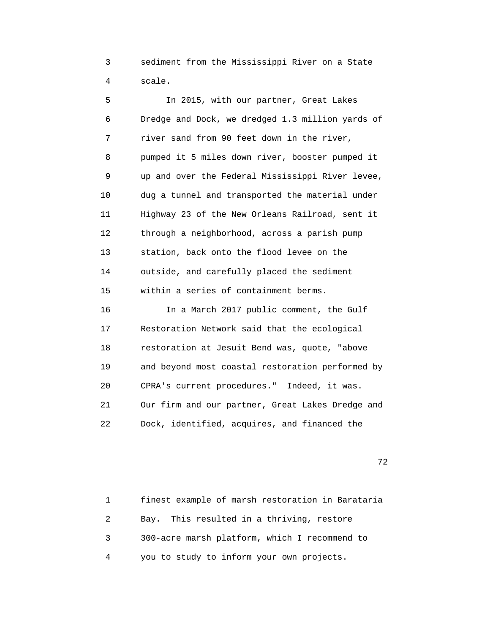3 sediment from the Mississippi River on a State 4 scale.

 5 In 2015, with our partner, Great Lakes 6 Dredge and Dock, we dredged 1.3 million yards of 7 river sand from 90 feet down in the river, 8 pumped it 5 miles down river, booster pumped it 9 up and over the Federal Mississippi River levee, 10 dug a tunnel and transported the material under 11 Highway 23 of the New Orleans Railroad, sent it 12 through a neighborhood, across a parish pump 13 station, back onto the flood levee on the 14 outside, and carefully placed the sediment 15 within a series of containment berms. 16 In a March 2017 public comment, the Gulf 17 Restoration Network said that the ecological 18 restoration at Jesuit Bend was, quote, "above 19 and beyond most coastal restoration performed by 20 CPRA's current procedures." Indeed, it was. 21 Our firm and our partner, Great Lakes Dredge and

22 Dock, identified, acquires, and financed the

процесство производство в село в 1972 године в 1972 године в 1972 године в 1972 године в 1972 године в 1973 го<br>В 1973 године в 1973 године в 1973 године в 1973 године в 1973 године в 1973 године в 1973 године в 1973 годин

 1 finest example of marsh restoration in Barataria 2 Bay. This resulted in a thriving, restore 3 300-acre marsh platform, which I recommend to 4 you to study to inform your own projects.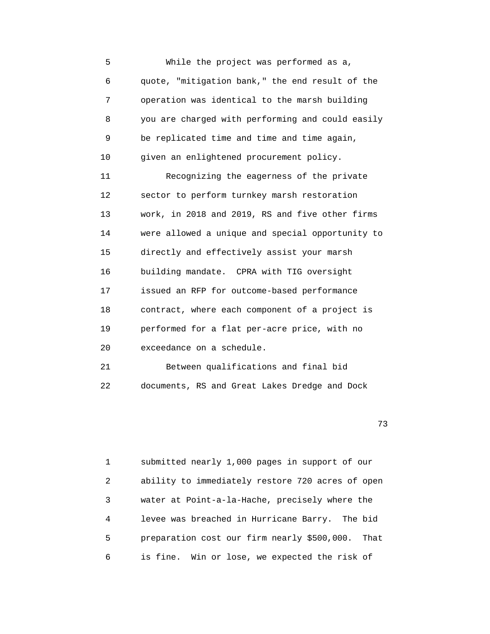5 While the project was performed as a, 6 quote, "mitigation bank," the end result of the 7 operation was identical to the marsh building 8 you are charged with performing and could easily 9 be replicated time and time and time again, 10 given an enlightened procurement policy. 11 Recognizing the eagerness of the private 12 sector to perform turnkey marsh restoration 13 work, in 2018 and 2019, RS and five other firms 14 were allowed a unique and special opportunity to 15 directly and effectively assist your marsh 16 building mandate. CPRA with TIG oversight 17 issued an RFP for outcome-based performance 18 contract, where each component of a project is 19 performed for a flat per-acre price, with no 20 exceedance on a schedule. 21 Between qualifications and final bid

22 documents, RS and Great Lakes Dredge and Dock

73

 1 submitted nearly 1,000 pages in support of our 2 ability to immediately restore 720 acres of open 3 water at Point-a-la-Hache, precisely where the 4 levee was breached in Hurricane Barry. The bid 5 preparation cost our firm nearly \$500,000. That 6 is fine. Win or lose, we expected the risk of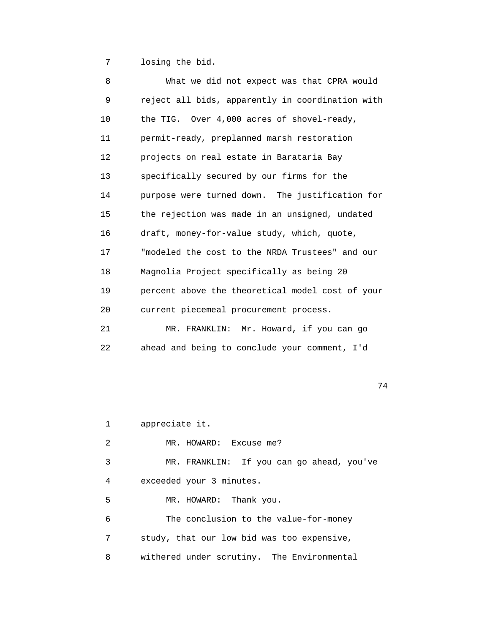7 losing the bid.

| 8  | What we did not expect was that CPRA would       |
|----|--------------------------------------------------|
| 9  | reject all bids, apparently in coordination with |
| 10 | the TIG. Over 4,000 acres of shovel-ready,       |
| 11 | permit-ready, preplanned marsh restoration       |
| 12 | projects on real estate in Barataria Bay         |
| 13 | specifically secured by our firms for the        |
| 14 | purpose were turned down. The justification for  |
| 15 | the rejection was made in an unsigned, undated   |
| 16 | draft, money-for-value study, which, quote,      |
| 17 | "modeled the cost to the NRDA Trustees" and our  |
| 18 | Magnolia Project specifically as being 20        |
| 19 | percent above the theoretical model cost of your |
| 20 | current piecemeal procurement process.           |
| 21 | MR. FRANKLIN: Mr. Howard, if you can go          |
| 22 | ahead and being to conclude your comment, I'd    |

74

 1 appreciate it. 2 MR. HOWARD: Excuse me? 3 MR. FRANKLIN: If you can go ahead, you've 4 exceeded your 3 minutes. 5 MR. HOWARD: Thank you. 6 The conclusion to the value-for-money 7 study, that our low bid was too expensive, 8 withered under scrutiny. The Environmental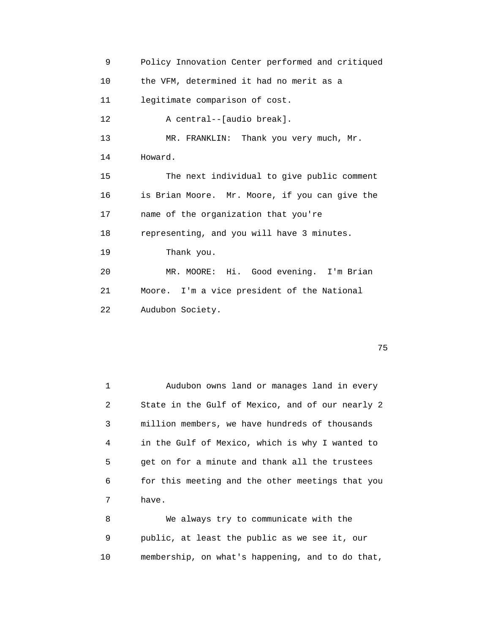9 Policy Innovation Center performed and critiqued 10 the VFM, determined it had no merit as a 11 legitimate comparison of cost. 12 A central--[audio break]. 13 MR. FRANKLIN: Thank you very much, Mr. 14 Howard. 15 The next individual to give public comment 16 is Brian Moore. Mr. Moore, if you can give the 17 name of the organization that you're 18 representing, and you will have 3 minutes. 19 Thank you. 20 MR. MOORE: Hi. Good evening. I'm Brian 21 Moore. I'm a vice president of the National 22 Audubon Society.

na a shekarar 1975 a 1972. An tsa tsannin 1975 a 1972 a 1972 a 1972 a 1973 a 1974 a 1975 a 1976 a 1977 a 1978<br>Tagairtí

 1 Audubon owns land or manages land in every 2 State in the Gulf of Mexico, and of our nearly 2 3 million members, we have hundreds of thousands 4 in the Gulf of Mexico, which is why I wanted to 5 get on for a minute and thank all the trustees 6 for this meeting and the other meetings that you 7 have.

 8 We always try to communicate with the 9 public, at least the public as we see it, our 10 membership, on what's happening, and to do that,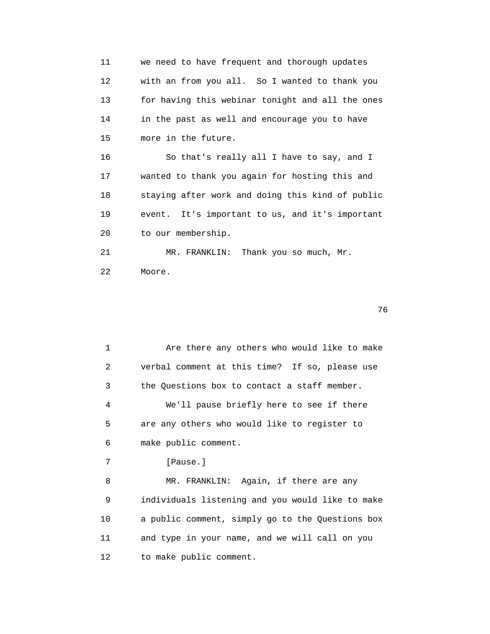11 we need to have frequent and thorough updates 12 with an from you all. So I wanted to thank you 13 for having this webinar tonight and all the ones 14 in the past as well and encourage you to have 15 more in the future.

 16 So that's really all I have to say, and I 17 wanted to thank you again for hosting this and 18 staying after work and doing this kind of public 19 event. It's important to us, and it's important 20 to our membership.

 21 MR. FRANKLIN: Thank you so much, Mr. 22 Moore.

 $76$ 

1 Are there any others who would like to make 2 verbal comment at this time? If so, please use 3 the Questions box to contact a staff member. 4 We'll pause briefly here to see if there 5 are any others who would like to register to 6 make public comment. 7 [Pause.] 8 MR. FRANKLIN: Again, if there are any 9 individuals listening and you would like to make 10 a public comment, simply go to the Questions box 11 and type in your name, and we will call on you 12 to make public comment.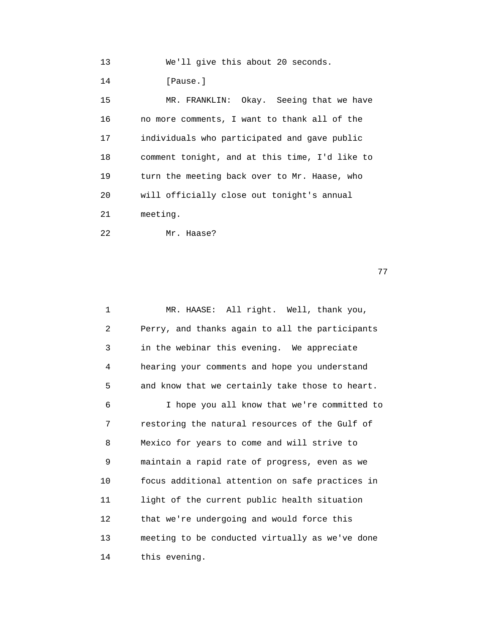13 We'll give this about 20 seconds.

14 [Pause.]

 15 MR. FRANKLIN: Okay. Seeing that we have 16 no more comments, I want to thank all of the 17 individuals who participated and gave public 18 comment tonight, and at this time, I'd like to 19 turn the meeting back over to Mr. Haase, who 20 will officially close out tonight's annual 21 meeting.

22 Mr. Haase?

77

 1 MR. HAASE: All right. Well, thank you, 2 Perry, and thanks again to all the participants 3 in the webinar this evening. We appreciate 4 hearing your comments and hope you understand 5 and know that we certainly take those to heart. 6 I hope you all know that we're committed to 7 restoring the natural resources of the Gulf of 8 Mexico for years to come and will strive to 9 maintain a rapid rate of progress, even as we 10 focus additional attention on safe practices in 11 light of the current public health situation 12 that we're undergoing and would force this 13 meeting to be conducted virtually as we've done 14 this evening.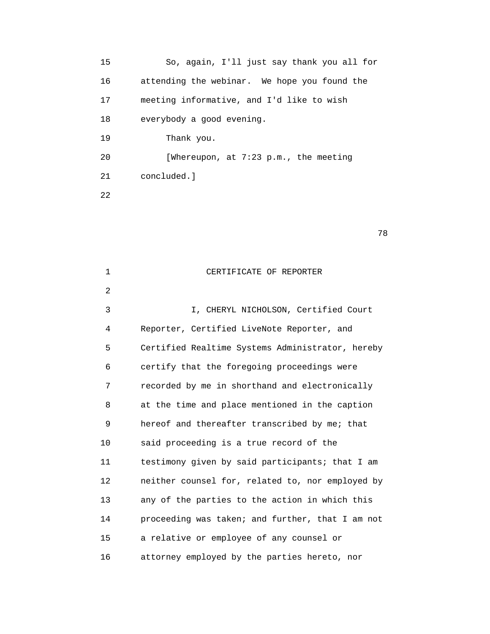15 So, again, I'll just say thank you all for 16 attending the webinar. We hope you found the 17 meeting informative, and I'd like to wish 18 everybody a good evening. 19 Thank you. 20 [Whereupon, at 7:23 p.m., the meeting 21 concluded.] 22

| $\mathbf{1}$      | CERTIFICATE OF REPORTER                          |
|-------------------|--------------------------------------------------|
| 2                 |                                                  |
| 3                 | I, CHERYL NICHOLSON, Certified Court             |
| 4                 | Reporter, Certified LiveNote Reporter, and       |
| 5                 | Certified Realtime Systems Administrator, hereby |
| 6                 | certify that the foregoing proceedings were      |
| 7                 | recorded by me in shorthand and electronically   |
| 8                 | at the time and place mentioned in the caption   |
| 9                 | hereof and thereafter transcribed by me; that    |
| 10                | said proceeding is a true record of the          |
| 11                | testimony given by said participants; that I am  |
| $12 \overline{ }$ | neither counsel for, related to, nor employed by |
| 13                | any of the parties to the action in which this   |
| 14                | proceeding was taken; and further, that I am not |
| 15                | a relative or employee of any counsel or         |
| 16                | attorney employed by the parties hereto, nor     |